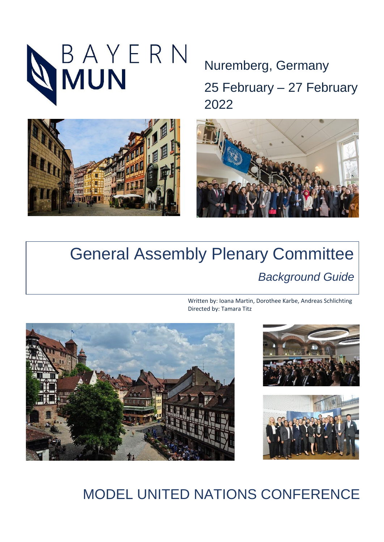



Nuremberg, Germany 25 February – 27 February 2022



# General Assembly Plenary Committee *Background Guide*

Written by: Ioana Martin, Dorothee Karbe, Andreas Schlichting Directed by: Tamara Titz







# MODEL UNITED NATIONS CONFERENCE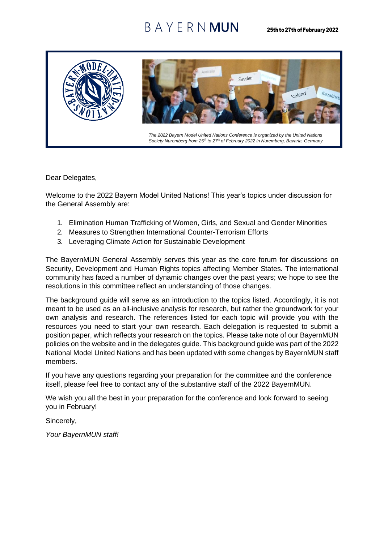## BAYFRNMUN



Dear Delegates,

Welcome to the 2022 Bayern Model United Nations! This year's topics under discussion for the General Assembly are:

- 1. Elimination Human Trafficking of Women, Girls, and Sexual and Gender Minorities
- 2. Measures to Strengthen International Counter-Terrorism Efforts
- 3. Leveraging Climate Action for Sustainable Development

The BayernMUN General Assembly serves this year as the core forum for discussions on Security, Development and Human Rights topics affecting Member States. The international community has faced a number of dynamic changes over the past years; we hope to see the resolutions in this committee reflect an understanding of those changes.

The background guide will serve as an introduction to the topics listed. Accordingly, it is not meant to be used as an all-inclusive analysis for research, but rather the groundwork for your own analysis and research. The references listed for each topic will provide you with the resources you need to start your own research. Each delegation is requested to submit a position paper, which reflects your research on the topics. Please take note of our BayernMUN policies on the website and in the delegates guide. This background guide was part of the 2022 National Model United Nations and has been updated with some changes by BayernMUN staff members.

If you have any questions regarding your preparation for the committee and the conference itself, please feel free to contact any of the substantive staff of the 2022 BayernMUN.

We wish you all the best in your preparation for the conference and look forward to seeing you in February!

Sincerely,

*Your BayernMUN staff!*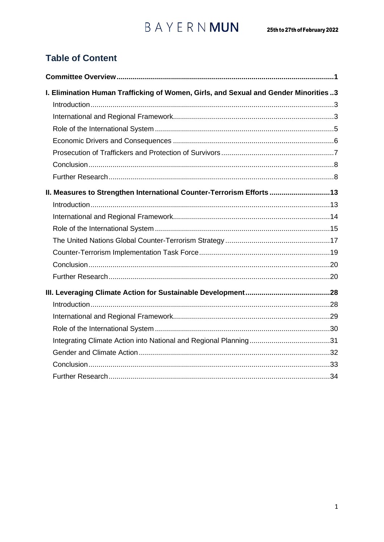# $BA Y E R N **MUN** 25th to 27th of February 2022$

## **Table of Content**

| I. Elimination Human Trafficking of Women, Girls, and Sexual and Gender Minorities3 |  |
|-------------------------------------------------------------------------------------|--|
|                                                                                     |  |
|                                                                                     |  |
|                                                                                     |  |
|                                                                                     |  |
|                                                                                     |  |
|                                                                                     |  |
|                                                                                     |  |
| II. Measures to Strengthen International Counter-Terrorism Efforts 13               |  |
|                                                                                     |  |
|                                                                                     |  |
|                                                                                     |  |
|                                                                                     |  |
|                                                                                     |  |
|                                                                                     |  |
|                                                                                     |  |
|                                                                                     |  |
|                                                                                     |  |
|                                                                                     |  |
|                                                                                     |  |
|                                                                                     |  |
|                                                                                     |  |
|                                                                                     |  |
|                                                                                     |  |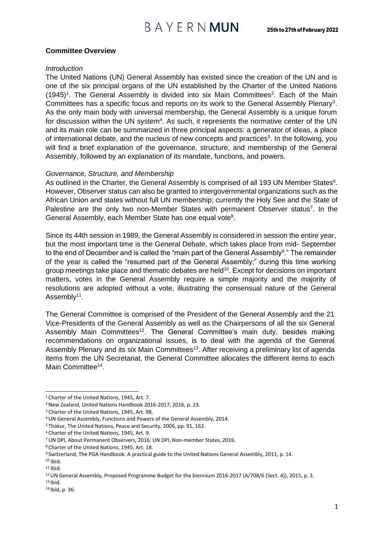### <span id="page-3-0"></span>**Committee Overview**

#### *Introduction*

The United Nations (UN) General Assembly has existed since the creation of the UN and is one of the six principal organs of the UN established by the Charter of the United Nations  $(1945)^{1}$ . The General Assembly is divided into six Main Committees<sup>2</sup>. Each of the Main Committees has a specific focus and reports on its work to the General Assembly Plenary<sup>3</sup>. As the only main body with universal membership, the General Assembly is a unique forum for discussion within the UN system<sup>4</sup>. As such, it represents the normative center of the UN and its main role can be summarized in three principal aspects: a generator of ideas, a place of international debate, and the nucleus of new concepts and practices<sup>5</sup>. In the following, you will find a brief explanation of the governance, structure, and membership of the General Assembly, followed by an explanation of its mandate, functions, and powers.

### *Governance, Structure, and Membership*

As outlined in the Charter, the General Assembly is comprised of all 193 UN Member States $6$ . However, Observer status can also be granted to intergovernmental organizations such as the African Union and states without full UN membership; currently the Holy See and the State of Palestine are the only two non-Member States with permanent Observer status<sup>7</sup>. In the General Assembly, each Member State has one equal vote<sup>8</sup>.

Since its 44th session in 1989, the General Assembly is considered in session the entire year, but the most important time is the General Debate, which takes place from mid- September to the end of December and is called the "main part of the General Assembly<sup>9</sup>." The remainder of the year is called the "resumed part of the General Assembly;" during this time working group meetings take place and thematic debates are held<sup>10</sup>. Except for decisions on important matters, votes in the General Assembly require a simple majority and the majority of resolutions are adopted without a vote, illustrating the consensual nature of the General Assembly<sup>11</sup>.

The General Committee is comprised of the President of the General Assembly and the 21 Vice-Presidents of the General Assembly as well as the Chairpersons of all the six General Assembly Main Committees<sup>12</sup>. The General Committee's main duty, besides making recommendations on organizational issues, is to deal with the agenda of the General Assembly Plenary and its six Main Committees<sup>13</sup>. After receiving a preliminary list of agenda items from the UN Secretariat, the General Committee allocates the different items to each Main Committee<sup>14</sup>.

<sup>&</sup>lt;sup>1</sup> Charter of the United Nations, 1945, Art. 7.

<sup>2</sup>New Zealand, United Nations Handbook 2016-2017, 2016, p. 23.

<sup>3</sup>Charter of the United Nations, 1945, Art. 98.

<sup>4</sup>UN General Assembly, Functions and Powers of the General Assembly, 2014.

<sup>5</sup>Thakur, The United Nations, Peace and Security, 2006, pp. 91, 162.

<sup>6</sup>Charter of the United Nations, 1945, Art. 9.

<sup>7</sup>UN DPI, About Permanent Observers, 2016; UN DPI, Non-member States, 2016.

<sup>8</sup>Charter of the United Nations, 1945, Art. 18.

<sup>9</sup>Switzerland, The PGA Handbook: A practical guide to the United Nations General Assembly, 2011, p. 14.  $10$  Ibid.

 $11$  Ibid.

<sup>&</sup>lt;sup>12</sup> UN General Assembly, Proposed Programme Budget for the biennium 2016-2017 (A/708/6 (Sect. 4)), 2015, p. 3.

 $13$  Ibid.

<sup>14</sup> Ibid, p. 36.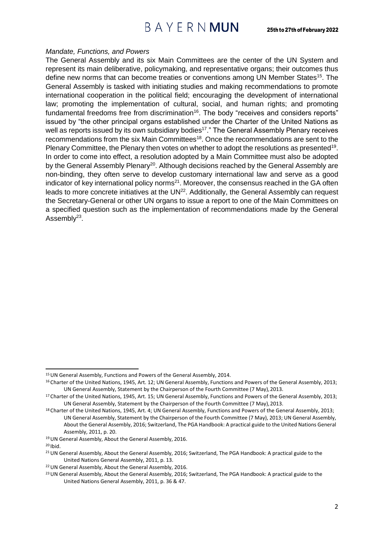## BAYERNMUN

#### *Mandate, Functions, and Powers*

The General Assembly and its six Main Committees are the center of the UN System and represent its main deliberative, policymaking, and representative organs; their outcomes thus define new norms that can become treaties or conventions among UN Member States<sup>15</sup>. The General Assembly is tasked with initiating studies and making recommendations to promote international cooperation in the political field; encouraging the development of international law; promoting the implementation of cultural, social, and human rights; and promoting fundamental freedoms free from discrimination<sup>16</sup>. The body "receives and considers reports" issued by "the other principal organs established under the Charter of the United Nations as well as reports issued by its own subsidiary bodies<sup>17</sup>." The General Assembly Plenary receives recommendations from the six Main Committees<sup>18</sup>. Once the recommendations are sent to the Plenary Committee, the Plenary then votes on whether to adopt the resolutions as presented<sup>19</sup>. In order to come into effect, a resolution adopted by a Main Committee must also be adopted by the General Assembly Plenary<sup>20</sup>. Although decisions reached by the General Assembly are non-binding, they often serve to develop customary international law and serve as a good indicator of key international policy norms $^{21}$ . Moreover, the consensus reached in the GA often leads to more concrete initiatives at the UN<sup>22</sup>. Additionally, the General Assembly can request the Secretary-General or other UN organs to issue a report to one of the Main Committees on a specified question such as the implementation of recommendations made by the General Assembly<sup>23</sup>.

<sup>&</sup>lt;sup>15</sup> UN General Assembly, Functions and Powers of the General Assembly, 2014.

<sup>&</sup>lt;sup>16</sup> Charter of the United Nations, 1945, Art. 12; UN General Assembly, Functions and Powers of the General Assembly, 2013; UN General Assembly, Statement by the Chairperson of the Fourth Committee (7 May),2013.

<sup>&</sup>lt;sup>17</sup> Charter of the United Nations, 1945, Art. 15; UN General Assembly, Functions and Powers of the General Assembly, 2013; UN General Assembly, Statement by the Chairperson of the Fourth Committee (7 May),2013.

<sup>18</sup> Charter of the United Nations, 1945, Art. 4; UN General Assembly, Functions and Powers of the General Assembly, 2013; UN General Assembly, Statement by the Chairperson of the Fourth Committee (7 May), 2013; UN General Assembly, About the General Assembly, 2016; Switzerland, The PGA Handbook: A practical guide to the United Nations General Assembly, 2011, p. 20.

<sup>19</sup>UN General Assembly, About the General Assembly, 2016.

 $20$  Ibid.

<sup>&</sup>lt;sup>21</sup> UN General Assembly, About the General Assembly, 2016; Switzerland, The PGA Handbook: A practical guide to the United Nations General Assembly, 2011, p. 13.

<sup>22</sup>UN General Assembly, About the General Assembly, 2016.

<sup>&</sup>lt;sup>23</sup> UN General Assembly, About the General Assembly, 2016; Switzerland, The PGA Handbook: A practical guide to the United Nations General Assembly, 2011, p. 36 & 47.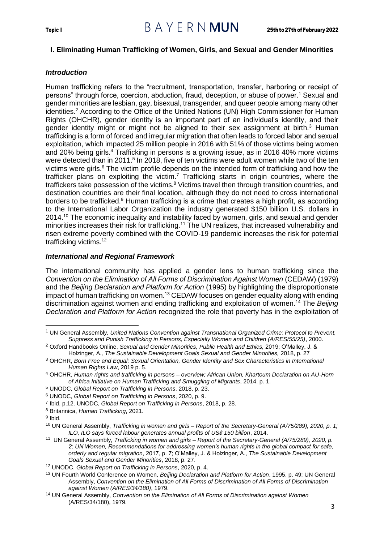### <span id="page-5-0"></span>**I. Eliminating Human Trafficking of Women, Girls, and Sexual and Gender Minorities**

### <span id="page-5-1"></span>*Introduction*

Human trafficking refers to the "recruitment, transportation, transfer, harboring or receipt of persons" through force, coercion, abduction, fraud, deception, or abuse of power.<sup>1</sup> Sexual and gender minorities are lesbian, gay, bisexual, transgender, and queer people among many other identities.<sup>2</sup> According to the Office of the United Nations (UN) High Commissioner for Human Rights (OHCHR), gender identity is an important part of an individual's identity, and their gender identity might or might not be aligned to their sex assignment at birth. $3$  Human trafficking is a form of forced and irregular migration that often leads to forced labor and sexual exploitation, which impacted 25 million people in 2016 with 51% of those victims being women and 20% being girls.<sup>4</sup> Trafficking in persons is a growing issue, as in 2016 40% more victims were detected than in 2011.<sup>5</sup> In 2018, five of ten victims were adult women while two of the ten victims were girls.<sup>6</sup> The victim profile depends on the intended form of trafficking and how the trafficker plans on exploiting the victim.<sup>7</sup> Trafficking starts in origin countries, where the traffickers take possession of the victims.<sup>8</sup> Victims travel then through transition countries, and destination countries are their final location, although they do not need to cross international borders to be trafficked.<sup>9</sup> Human trafficking is a crime that creates a high profit, as according to the International Labor Organization the industry generated \$150 billion U.S. dollars in 2014.<sup>10</sup> The economic inequality and instability faced by women, girls, and sexual and gender minorities increases their risk for trafficking.<sup>11</sup> The UN realizes, that increased vulnerability and risen extreme poverty combined with the COVID-19 pandemic increases the risk for potential trafficking victims.<sup>12</sup>

### <span id="page-5-2"></span>*International and Regional Framework*

The international community has applied a gender lens to human trafficking since the *Convention on the Elimination of All Forms of Discrimination Against Women* (CEDAW) (1979) and the *Beijing Declaration and Platform for Action* (1995) by highlighting the disproportionate impact of human trafficking on women.<sup>13</sup> CEDAW focuses on gender equality along with ending discrimination against women and ending trafficking and exploitation of women.<sup>14</sup> The *Beijing Declaration and Platform for Action* recognized the role that poverty has in the exploitation of

- <sup>8</sup> Britannica, *Human Trafficking*, 2021.
- <sup>9</sup> Ibid.

<sup>1</sup> UN General Assembly*, United Nations Convention against Transnational Organized Crime: Protocol to Prevent, Suppress and Punish Trafficking in Persons, Especially Women and Children (A/RES/55/25)*, 2000.

<sup>2</sup> Oxford Handbooks Online, *Sexual and Gender Minorities, Public Health and Ethics,* 2019; O'Malley, J. & Holzinger, A.*, The Sustainable Development Goals Sexual and Gender Minorities,* 2018, p. 27

<sup>3</sup> OHCHR, *Born Free and Equal: Sexual Orientation, Gender Identity and Sex Characteristics in International Human Rights Law*, 2019 p. 5.

<sup>4</sup> OHCHR, *Human rights and trafficking in persons – overview; African Union, Khartoum Declaration on AU-Horn of Africa Initiative on Human Trafficking and Smuggling of Migrants*, 2014, p. 1.

<sup>5</sup> UNODC, *Global Report on Trafficking in Persons*, 2018, p. 23.

<sup>6</sup> UNODC, *Global Report on Trafficking in Persons*, 2020, p. 9.

<sup>7</sup> Ibid, p.12. UNODC, *Global Report on Trafficking in Persons*, 2018, p. 28.

<sup>10</sup> UN General Assembly, *Trafficking in women and girls – Report of the Secretary-General (A/75/289), 2020, p. 1; ILO, ILO says forced labour generates annual profits of US\$ 150 billion*, 2014.

<sup>11</sup> UN General Assembly, *Trafficking in women and girls – Report of the Secretary-General (A/75/289), 2020, p. 2; UN Women, Recommendations for addressing women's human rights in the global compact for safe, orderly and regular migration*, 2017, p. 7; O'Malley, J. & Holzinger, A., *The Sustainable Development Goals Sexual and Gender Minorities*, 2018, p. 27.

<sup>12</sup> UNODC, *Global Report on Trafficking in Persons*, 2020, p. 4.

<sup>13</sup> UN Fourth World Conference on Women, *Beijing Declaration and Platform for Action*, 1995, p. 49; UN General Assembly, *Convention on the Elimination of All Forms of Discrimination of All Forms of Discrimination against Women (A/RES/34/180)*, 1979.

<sup>14</sup> UN General Assembly, *Convention on the Elimination of All Forms of Discrimination against Women*  (A/RES/34/180), 1979.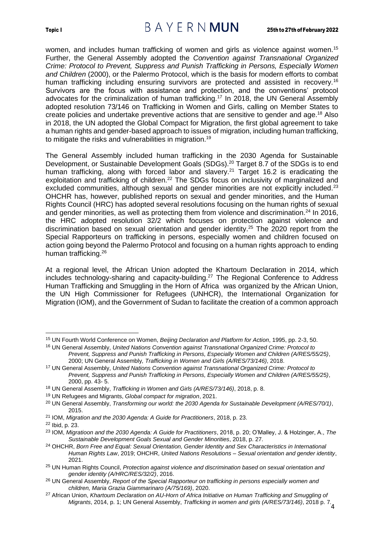## Topic I 25th to 27th of February 2022

women, and includes human trafficking of women and girls as violence against women.<sup>15</sup> Further, the General Assembly adopted the *Convention against Transnational Organized Crime: Protocol to Prevent, Suppress and Punish Trafficking in Persons, Especially Women and Children* (2000), or the Palermo Protocol, which is the basis for modern efforts to combat human trafficking including ensuring survivors are protected and assisted in recovery.<sup>16</sup> Survivors are the focus with assistance and protection, and the conventions' protocol advocates for the criminalization of human trafficking.<sup>17</sup> In 2018, the UN General Assembly adopted resolution 73/146 on Trafficking in Women and Girls, calling on Member States to create policies and undertake preventive actions that are sensitive to gender and age.<sup>18</sup> Also in 2018, the UN adopted the Global Compact for Migration, the first global agreement to take a human rights and gender-based approach to issues of migration, including human trafficking, to mitigate the risks and vulnerabilities in migration.<sup>19</sup>

The General Assembly included human trafficking in the 2030 Agenda for Sustainable Development, or Sustainable Development Goals (SDGs).<sup>20</sup> Target 8.7 of the SDGs is to end human trafficking, along with forced labor and slavery.<sup>21</sup> Target 16.2 is eradicating the exploitation and trafficking of children.<sup>22</sup> The SDGs focus on inclusivity of marginalized and excluded communities, although sexual and gender minorities are not explicitly included. $^{23}$ OHCHR has, however, published reports on sexual and gender minorities, and the Human Rights Council (HRC) has adopted several resolutions focusing on the human rights of sexual and gender minorities, as well as protecting them from violence and discrimination.<sup>24</sup> In 2016, the HRC adopted resolution 32/2 which focuses on protection against violence and discrimination based on sexual orientation and gender identity.<sup>25</sup> The 2020 report from the Special Rapporteurs on trafficking in persons, especially women and children focused on action going beyond the Palermo Protocol and focusing on a human rights approach to ending human trafficking.<sup>26</sup>

At a regional level, the African Union adopted the Khartoum Declaration in 2014, which includes technology-sharing and capacity-building.<sup>27</sup> The Regional Conference to Address Human Trafficking and Smuggling in the Horn of Africa was organized by the African Union, the UN High Commissioner for Refugees (UNHCR), the International Organization for Migration (IOM), and the Government of Sudan to facilitate the creation of a common approach

<sup>15</sup> UN Fourth World Conference on Women, *Beijing Declaration and Platform for Action*, 1995, pp. 2-3, 50.

<sup>16</sup> UN General Assembly, *United Nations Convention against Transnational Organized Crime: Protocol to Prevent, Suppress and Punish Trafficking in Persons, Especially Women and Children (A/RES/55/25)*, 2000; UN General Assembly*, Trafficking in Women and Girls (A/RES/73/146)*, 2018.

<sup>17</sup> UN General Assembly, *United Nations Convention against Transnational Organized Crime: Protocol to Prevent, Suppress and Punish Trafficking in Persons, Especially Women and Children (A/RES/55/25)*, 2000, pp. 43- 5.

<sup>18</sup> UN General Assembly, *Trafficking in Women and Girls (A/RES/73/146)*, 2018, p. 8.

<sup>19</sup> UN Refugees and Migrants, *Global compact for migration*, 2021.

<sup>20</sup> UN General Assembly, *Transforming our world: the 2030 Agenda for Sustainable Development (A/RES/70/1)*, 2015.

<sup>21</sup> IOM, *Migration and the 2030 Agenda: A Guide for Practitioners*, 2018, p. 23.

<sup>22</sup> Ibid, p. 23.

<sup>23</sup> IOM, *Migratioon and the 2030 Agenda: A Guide for Practitioners*, 2018, p. 20; O'Malley, J. & Holzinger, A., *The Sustainable Development Goals Sexual and Gender Minorities*, 2018, p. 27.

<sup>24</sup> OHCHR, *Born Free and Equal: Sexual Orientation, Gender Identity and Sex Characteristics in International Human Rights Law*, 2019; OHCHR, *United Nations Resolutions – Sexual orientation and gender identity*, 2021.

<sup>25</sup> UN Human Rights Council, *Protection against violence and discrimination based on sexual orientation and gender identity (A/HRC/RES/32/2)*, 2016.

<sup>26</sup> UN General Assembly, *Report of the Special Rapporteur on trafficking in persons especially women and children, Maria Grazia Giammarinaro (A/75/169)*, 2020.

<sup>4</sup> *Migrants*, 2014, p. 1; UN General Assembly, *Trafficking in women and girls (A/RES/73/146)*, 2018 p. 7*.*<sup>27</sup> African Union, *Khartoum Declaration on AU-Horn of Africa Initiative on Human Trafficking and Smuggling of*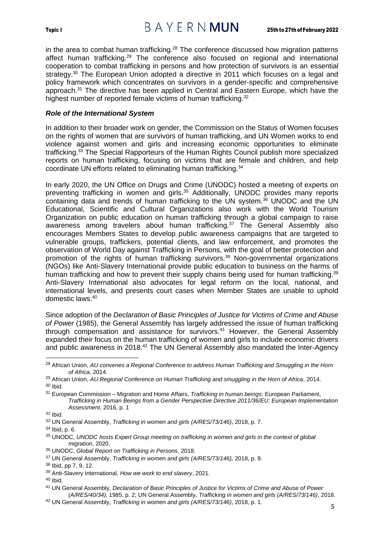in the area to combat human trafficking.<sup>28</sup> The conference discussed how migration patterns affect human trafficking.<sup>29</sup> The conference also focused on regional and international cooperation to combat trafficking in persons and how protection of survivors is an essential strategy.<sup>30</sup> The European Union adopted a directive in 2011 which focuses on a legal and policy framework which concentrates on survivors in a gender-specific and comprehensive approach.<sup>31</sup> The directive has been applied in Central and Eastern Europe, which have the highest number of reported female victims of human trafficking.<sup>32</sup>

### <span id="page-7-0"></span>*Role of the International System*

In addition to their broader work on gender, the Commission on the Status of Women focuses on the rights of women that are survivors of human trafficking, and UN Women works to end violence against women and girls and increasing economic opportunities to eliminate trafficking.<sup>33</sup> The Special Rapporteurs of the Human Rights Council publish more specialized reports on human trafficking, focusing on victims that are female and children, and help coordinate UN efforts related to eliminating human trafficking.<sup>34</sup>

In early 2020, the UN Office on Drugs and Crime (UNODC) hosted a meeting of experts on preventing trafficking in women and girls.<sup>35</sup> Additionally, UNODC provides many reports containing data and trends of human trafficking to the UN system.<sup>36</sup> UNODC and the UN Educational, Scientific and Cultural Organizations also work with the World Tourism Organization on public education on human trafficking through a global campaign to raise awareness among travelers about human trafficking.<sup>37</sup> The General Assembly also encourages Members States to develop public awareness campaigns that are targeted to vulnerable groups, traffickers, potential clients, and law enforcement, and promotes the observation of World Day against Trafficking in Persons, with the goal of better protection and promotion of the rights of human trafficking survivors.<sup>38</sup> Non-governmental organizations (NGOs) like Anti-Slavery International provide public education to business on the harms of human trafficking and how to prevent their supply chains being used for human trafficking.<sup>39</sup> Anti-Slavery International also advocates for legal reform on the local, national, and international levels, and presents court cases when Member States are unable to uphold domestic laws.<sup>40</sup>

Since adoption of the *Declaration of Basic Principles of Justice for Victims of Crime and Abuse of Power* (1985), the General Assembly has largely addressed the issue of human trafficking through compensation and assistance for survivors.<sup>41</sup> However, the General Assembly expanded their focus on the human trafficking of women and girls to include economic drivers and public awareness in 2018.<sup>42</sup> The UN General Assembly also mandated the Inter-Agency

<sup>28</sup> African Union, *AU convenes a Regional Conference to address Human Trafficking and Smuggling in the Horn of Africa*, 2014.

<sup>29</sup> African Union, *AU Regional Conference on Human Trafficking and smuggling in the Horn of Africa*, 2014.  $30$  Ibid.

<sup>31</sup> European Commission – Migration and Home Affairs, *Trafficking in human beings*; European Parliament, *Trafficking in Human Beings from a Gender Perspective Directive 2011/36/EU: European Implementation Assessment*, 2016, p. 1

<sup>32</sup> Ibid.

<sup>33</sup> UN General Assembly, *Trafficking in women and girls (A/RES/73/146)*, 2018, p. 7.

<sup>34</sup> Ibid, p. 6.

<sup>35</sup> UNODC, *UNODC hosts Expert Group meeting on trafficking in women and girls in the context of global migration*, 2020.

<sup>36</sup> UNODC, *Global Report on Trafficking in Persons*, 2018.

<sup>37</sup> UN General Assembly, *Trafficking in women and girls (A/RES/73/146),* 2018, p. 9.

<sup>38</sup> Ibid, pp 7, 9, 12.

<sup>39</sup> Anti-Slavery International, *How we work to end slavery*, 2021.

<sup>40</sup> Ibid.

<sup>41</sup> UN General Assembly, *Declaration of Basic Principles of Justice for Victims of Crime and Abuse of Power (A/RES/40/34)*, 1985, p. 2; UN General Assembly, *Trafficking in women and girls (A/RES/73/146)*, 2018.

<sup>42</sup> UN General Assembly, *Trafficking in women and girls (A/RES/73/146)*, 2018, p. 1.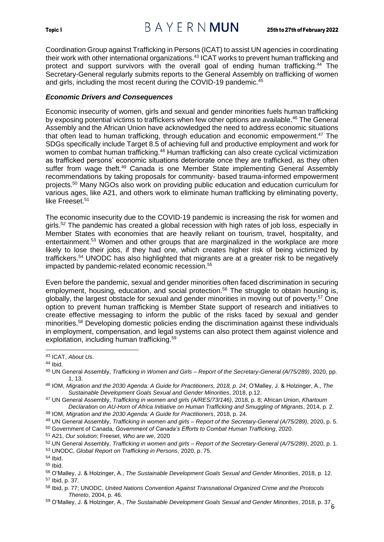## Topic I 25th to 27th of February 2022

Coordination Group against Trafficking in Persons (ICAT) to assist UN agencies in coordinating their work with other international organizations.<sup>43</sup> ICAT works to prevent human trafficking and protect and support survivors with the overall goal of ending human trafficking.<sup>44</sup> The Secretary-General regularly submits reports to the General Assembly on trafficking of women and girls, including the most recent during the COVID-19 pandemic.<sup>45</sup>

#### <span id="page-8-0"></span>*Economic Drivers and Consequences*

Economic insecurity of women, girls and sexual and gender minorities fuels human trafficking by exposing potential victims to traffickers when few other options are available.<sup>46</sup> The General Assembly and the African Union have acknowledged the need to address economic situations that often lead to human trafficking, through education and economic empowerment.<sup>47</sup> The SDGs specifically include Target 8.5 of achieving full and productive employment and work for women to combat human trafficking.<sup>48</sup> Human trafficking can also create cyclical victimization as trafficked persons' economic situations deteriorate once they are trafficked, as they often suffer from wage theft.<sup>49</sup> Canada is one Member State implementing General Assembly recommendations by taking proposals for community- based trauma-informed empowerment projects.<sup>50</sup> Many NGOs also work on providing public education and education curriculum for various ages, like A21, and others work to eliminate human trafficking by eliminating poverty, like Freeset.<sup>51</sup>

The economic insecurity due to the COVID-19 pandemic is increasing the risk for women and girls.<sup>52</sup> The pandemic has created a global recession with high rates of job loss, especially in Member States with economies that are heavily reliant on tourism, travel, hospitality, and entertainment.<sup>53</sup> Women and other groups that are marginalized in the workplace are more likely to lose their jobs, if they had one, which creates higher risk of being victimized by traffickers.<sup>54</sup> UNODC has also highlighted that migrants are at a greater risk to be negatively impacted by pandemic-related economic recession.<sup>55</sup>

Even before the pandemic, sexual and gender minorities often faced discrimination in securing employment, housing, education, and social protection.<sup>56</sup> The struggle to obtain housing is, globally, the largest obstacle for sexual and gender minorities in moving out of poverty. <sup>57</sup> One option to prevent human trafficking is Member State support of research and initiatives to create effective messaging to inform the public of the risks faced by sexual and gender minorities.<sup>58</sup> Developing domestic policies ending the discrimination against these individuals in employment, compensation, and legal systems can also protect them against violence and exploitation, including human trafficking.<sup>59</sup>

<sup>50</sup> Government of Canada, *Government of Canada's Efforts to Combat Human Trafficking*, 2020.

<sup>53</sup> UNODC, *Global Report on Trafficking in Persons*, 2020, p. 75.

<sup>43</sup> ICAT, *About Us*.

<sup>44</sup> Ibid.

<sup>45</sup> UN General Assembly, *Trafficking in Women and Girls – Report of the Secretary-General (A/75/289)*, 2020, pp. 1, 13.

<sup>46</sup> IOM, *Migration and the 2030 Agenda: A Guide for Practitioners, 2018, p. 24*; O'Malley, J. & Holzinger, A., *The Sustainable Development Goals Sexual and Gender Minorities*, 2018, p.12.

<sup>47</sup> UN General Assembly, *Trafficking in women and girls (A/RES/73/146)*, 2018, p. 8; African Union, *Khartoum Declaration on AU-Horn of Africa Initiative on Human Trafficking and Smuggling of Migrants*, 2014, p. 2.

<sup>48</sup> IOM, *Migration and the 2030 Agenda: A Guide for Practitioners*, 2018, p. 24.

<sup>49</sup> UN General Assembly, *Trafficking in women and girls – Report of the Secretary-General (A/75/289)*, 2020, p. 5.

<sup>51</sup> A21, *Our solution*; Freeset, *Who are we*, 2020

<sup>52</sup> UN General Assembly, *Trafficking in women and girls – Report of the Secretary-General (A/75/289)*, 2020, p. 1.

<sup>54</sup> Ibid.

<sup>55</sup> Ibid.

<sup>56</sup> O'Malley, J. & Holzinger, A., *The Sustainable Development Goals Sexual and Gender Minorities*, 2018, p. 12. <sup>57</sup> Ibid, p. 37.

<sup>58</sup> Ibid, p. 77; UNODC, *United Nations Convention Against Transnational Organized Crime and the Protocols Thereto*, 2004, p. 46.

<sup>6</sup> <sup>59</sup> O'Malley, J. & Holzinger, A., *The Sustainable Development Goals Sexual and Gender Minorities*, 2018, p. 37.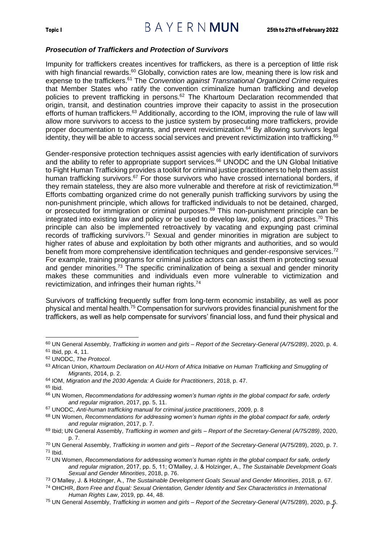#### <span id="page-9-0"></span>*Prosecution of Traffickers and Protection of Survivors*

Impunity for traffickers creates incentives for traffickers, as there is a perception of little risk with high financial rewards.<sup>60</sup> Globally, conviction rates are low, meaning there is low risk and expense to the traffickers.<sup>61</sup> The *Convention against Transnational Organized Crime* requires that Member States who ratify the convention criminalize human trafficking and develop policies to prevent trafficking in persons.<sup>62</sup> The Khartoum Declaration recommended that origin, transit, and destination countries improve their capacity to assist in the prosecution efforts of human traffickers.<sup>63</sup> Additionally, according to the IOM, improving the rule of law will allow more survivors to access to the justice system by prosecuting more traffickers, provide proper documentation to migrants, and prevent revictimization.<sup>64</sup> By allowing survivors legal identity, they will be able to access social services and prevent revictimization into trafficking.<sup>65</sup>

Gender-responsive protection techniques assist agencies with early identification of survivors and the ability to refer to appropriate support services.<sup>66</sup> UNODC and the UN Global Initiative to Fight Human Trafficking provides a toolkit for criminal justice practitioners to help them assist human trafficking survivors.<sup>67</sup> For those survivors who have crossed international borders, if they remain stateless, they are also more vulnerable and therefore at risk of revictimization.<sup>68</sup> Efforts combatting organized crime do not generally punish trafficking survivors by using the non-punishment principle, which allows for trafficked individuals to not be detained, charged, or prosecuted for immigration or criminal purposes.<sup>69</sup> This non-punishment principle can be integrated into existing law and policy or be used to develop law, policy, and practices. <sup>70</sup> This principle can also be implemented retroactively by vacating and expunging past criminal records of trafficking survivors.<sup>71</sup> Sexual and gender minorities in migration are subject to higher rates of abuse and exploitation by both other migrants and authorities, and so would benefit from more comprehensive identification techniques and gender-responsive services.<sup>72</sup> For example, training programs for criminal justice actors can assist them in protecting sexual and gender minorities.<sup>73</sup> The specific criminalization of being a sexual and gender minority makes these communities and individuals even more vulnerable to victimization and revictimization, and infringes their human rights.<sup>74</sup>

Survivors of trafficking frequently suffer from long-term economic instability, as well as poor physical and mental health.<sup>75</sup> Compensation for survivors provides financial punishment for the traffickers, as well as help compensate for survivors' financial loss, and fund their physical and

<sup>60</sup> UN General Assembly, *Trafficking in women and girls – Report of the Secretary-General (A/75/289)*, 2020, p. 4. <sup>61</sup> Ibid, pp. 4, 11.

<sup>62</sup> UNODC, *The Protocol*.

<sup>63</sup> African Union, *Khartoum Declaration on AU-Horn of Africa Initiative on Human Trafficking and Smuggling of Migrants*, 2014, p. 2.

<sup>64</sup> IOM, *Migration and the 2030 Agenda: A Guide for Practitioners*, 2018, p. 47.

 $65$  Ibid.

<sup>66</sup> UN Women, *Recommendations for addressing women's human rights in the global compact for safe, orderly and regular migration*, 2017, pp. 5, 11.

<sup>67</sup> UNODC, *Anti-human trafficking manual for criminal justice practitioners*, 2009, p. 8

<sup>68</sup> UN Women, *Recommendations for addressing women's human rights in the global compact for safe, orderly and regular migration*, 2017, p. 7.

<sup>69</sup> Ibid; UN General Assembly, *Trafficking in women and girls – Report of the Secretary-General (A/75/289)*, 2020, p. 7.

<sup>70</sup> UN General Assembly, *Trafficking in women and girls – Report of the Secretary-General* (A/75/289), 2020, p. 7. <sup>71</sup> Ibid.

<sup>72</sup> UN Women, *Recommendations for addressing women's human rights in the global compact for safe, orderly and regular migration*, 2017, pp. 5, 11; O'Malley, J. & Holzinger, A., *The Sustainable Development Goals Sexual and Gender Minorities*, 2018, p. 76.

<sup>73</sup> O'Malley, J. & Holzinger, A., *The Sustainable Development Goals Sexual and Gender Minorities*, 2018, p. 67.

<sup>74</sup> OHCHR, *Born Free and Equal: Sexual Orientation, Gender Identity and Sex Characteristics in International Human Rights Law*, 2019, pp. 44, 48.

<sup>7</sup> <sup>75</sup> UN General Assembly, *Trafficking in women and girls – Report of the Secretary-General* (A/75/289), 2020, p. 5.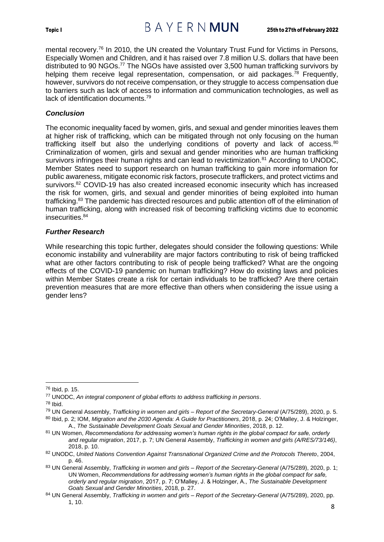

mental recovery.<sup>76</sup> In 2010, the UN created the Voluntary Trust Fund for Victims in Persons, Especially Women and Children, and it has raised over 7.8 million U.S. dollars that have been distributed to 90 NGOs.<sup>77</sup> The NGOs have assisted over 3,500 human trafficking survivors by helping them receive legal representation, compensation, or aid packages.<sup>78</sup> Frequently, however, survivors do not receive compensation, or they struggle to access compensation due to barriers such as lack of access to information and communication technologies, as well as lack of identification documents.<sup>79</sup>

### <span id="page-10-0"></span>*Conclusion*

The economic inequality faced by women, girls, and sexual and gender minorities leaves them at higher risk of trafficking, which can be mitigated through not only focusing on the human trafficking itself but also the underlying conditions of poverty and lack of access.<sup>80</sup> Criminalization of women, girls and sexual and gender minorities who are human trafficking survivors infringes their human rights and can lead to revictimization.<sup>81</sup> According to UNODC, Member States need to support research on human trafficking to gain more information for public awareness, mitigate economic risk factors, prosecute traffickers, and protect victims and survivors. <sup>82</sup> COVID-19 has also created increased economic insecurity which has increased the risk for women, girls, and sexual and gender minorities of being exploited into human trafficking.<sup>83</sup> The pandemic has directed resources and public attention off of the elimination of human trafficking, along with increased risk of becoming trafficking victims due to economic insecurities.<sup>84</sup>

### <span id="page-10-1"></span>*Further Research*

While researching this topic further, delegates should consider the following questions: While economic instability and vulnerability are major factors contributing to risk of being trafficked what are other factors contributing to risk of people being trafficked? What are the ongoing effects of the COVID-19 pandemic on human trafficking? How do existing laws and policies within Member States create a risk for certain individuals to be trafficked? Are there certain prevention measures that are more effective than others when considering the issue using a gender lens?

<sup>76</sup> Ibid, p. 15.

<sup>77</sup> UNODC, *An integral component of global efforts to address trafficking in persons*.

<sup>78</sup> Ibid.

<sup>79</sup> UN General Assembly, *Trafficking in women and girls – Report of the Secretary-General* (A/75/289), 2020, p. 5.

<sup>80</sup> Ibid, p. 2; IOM, *Migration and the 2030 Agenda: A Guide for Practitioners*, 2018, p. 24; O'Malley, J. & Holzinger, A., *The Sustainable Development Goals Sexual and Gender Minorities*, 2018, p. 12.

<sup>81</sup> UN Women, *Recommendations for addressing women's human rights in the global compact for safe, orderly and regular migration*, 2017, p. 7; UN General Assembly, *Trafficking in women and girls (A/RES/73/146)*, 2018, p. 10.

<sup>82</sup> UNODC, *United Nations Convention Against Transnational Organized Crime and the Protocols Thereto*, 2004, p. 46.

<sup>83</sup> UN General Assembly, *Trafficking in women and girls – Report of the Secretary-General* (A/75/289), 2020, p. 1; UN Women, *Recommendations for addressing women's human rights in the global compact for safe, orderly and regular migration*, 2017, p. 7; O'Malley, J. & Holzinger, A., *The Sustainable Development Goals Sexual and Gender Minorities*, 2018, p. 27.

<sup>84</sup> UN General Assembly, *Trafficking in women and girls – Report of the Secretary-General* (A/75/289), 2020, pp. 1, 10.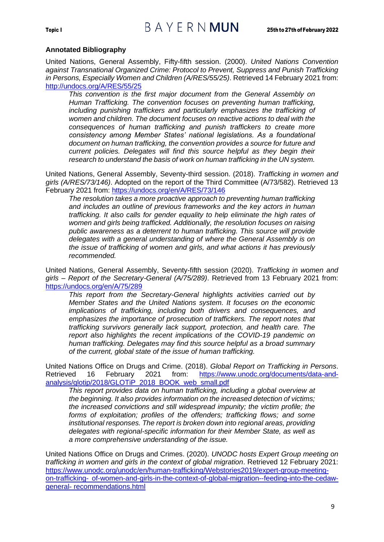#### **Annotated Bibliography**

United Nations, General Assembly, Fifty-fifth session. (2000). *United Nations Convention against Transnational Organized Crime: Protocol to Prevent, Suppress and Punish Trafficking in Persons, Especially Women and Children (A/RES/55/25)*. Retrieved 14 February 2021 from: <http://undocs.org/A/RES/55/25>

*This convention is the first major document from the General Assembly on Human Trafficking. The convention focuses on preventing human trafficking, including punishing traffickers and particularly emphasizes the trafficking of women and children. The document focuses on reactive actions to deal with the consequences of human trafficking and punish traffickers to create more consistency among Member States' national legislations. As a foundational document on human trafficking, the convention provides a source for future and current policies. Delegates will find this source helpful as they begin their research to understand the basis of work on human trafficking in the UN system.*

United Nations, General Assembly, Seventy-third session. (2018). *Trafficking in women and girls (A/RES/73/146)*. Adopted on the report of the Third Committee (A/73/582). Retrieved 13 February 2021 from:<https://undocs.org/en/A/RES/73/146>

*The resolution takes a more proactive approach to preventing human trafficking and includes an outline of previous frameworks and the key actors in human trafficking. It also calls for gender equality to help eliminate the high rates of women and girls being trafficked. Additionally, the resolution focuses on raising public awareness as a deterrent to human trafficking. This source will provide delegates with a general understanding of where the General Assembly is on the issue of trafficking of women and girls, and what actions it has previously recommended.*

United Nations, General Assembly, Seventy-fifth session (2020). *Trafficking in women and girls – Report of the Secretary-General (A/75/289)*. Retrieved from 13 February 2021 from: <https://undocs.org/en/A/75/289>

*This report from the Secretary-General highlights activities carried out by Member States and the United Nations system. It focuses on the economic implications of trafficking, including both drivers and consequences, and emphasizes the importance of prosecution of traffickers. The report notes that trafficking survivors generally lack support, protection, and health care. The report also highlights the recent implications of the COVID-19 pandemic on human trafficking. Delegates may find this source helpful as a broad summary of the current, global state of the issue of human trafficking.*

United Nations Office on Drugs and Crime. (2018). *Global Report on Trafficking in Persons*. Retrieved 16 February 2021 from: [https://www.unodc.org/documents/data-and](https://www.unodc.org/documents/data-and-analysis/glotip/2018/GLOTiP_2018_BOOK_web_small.pdf)[analysis/glotip/2018/GLOTiP\\_2018\\_BOOK\\_web\\_small.pdf](https://www.unodc.org/documents/data-and-analysis/glotip/2018/GLOTiP_2018_BOOK_web_small.pdf)

*This report provides data on human trafficking, including a global overview at the beginning. It also provides information on the increased detection of victims; the increased convictions and still widespread impunity; the victim profile; the forms of exploitation; profiles of the offenders; trafficking flows; and some institutional responses. The report is broken down into regional areas, providing delegates with regional-specific information for their Member State, as well as a more comprehensive understanding of the issue.*

United Nations Office on Drugs and Crimes. (2020). *UNODC hosts Expert Group meeting on trafficking in women and girls in the context of global migration*. Retrieved 12 February 2021: [https://www.unodc.org/unodc/en/human-trafficking/Webstories2019/expert-group-meeting](https://www.unodc.org/unodc/en/human-trafficking/Webstories2019/expert-group-meeting-on-trafficking-%20of-women-and-girls-in-the-context-of-global-migration--feeding-into-the-cedaw-general-%20recommendations.html)on-trafficking- [of-women-and-girls-in-the-context-of-global-migration--feeding-into-the-cedaw](https://www.unodc.org/unodc/en/human-trafficking/Webstories2019/expert-group-meeting-on-trafficking-%20of-women-and-girls-in-the-context-of-global-migration--feeding-into-the-cedaw-general-%20recommendations.html)general- [recommendations.html](https://www.unodc.org/unodc/en/human-trafficking/Webstories2019/expert-group-meeting-on-trafficking-%20of-women-and-girls-in-the-context-of-global-migration--feeding-into-the-cedaw-general-%20recommendations.html)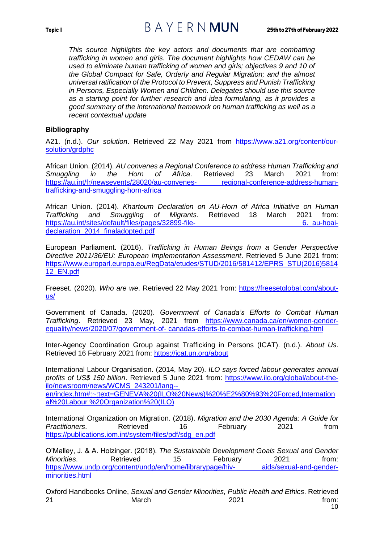*This source highlights the key actors and documents that are combatting trafficking in women and girls. The document highlights how CEDAW can be used to eliminate human trafficking of women and girls; objectives 9 and 10 of the Global Compact for Safe, Orderly and Regular Migration; and the almost universal ratification of the Protocol to Prevent, Suppress and Punish Trafficking in Persons, Especially Women and Children. Delegates should use this source as a starting point for further research and idea formulating, as it provides a good summary of the international framework on human trafficking as well as a recent contextual update*

#### **Bibliography**

A21. (n.d.). *Our solution*. Retrieved 22 May 2021 from [https://www.a21.org/content/our](https://www.a21.org/content/our-solution/grdphc)[solution/grdphc](https://www.a21.org/content/our-solution/grdphc)

African Union. (2014). *AU convenes a Regional Conference to address Human Trafficking and Smuggling in the Horn of Africa*. Retrieved 23 March 2021 from: [https://au.int/fr/newsevents/28020/au-convenes-](https://au.int/fr/newsevents/28020/au-convenes-%20regional-conference-address-human-trafficking-and-smuggling-horn-africa) regional-conference-address-human[trafficking-and-smuggling-horn-africa](https://au.int/fr/newsevents/28020/au-convenes-%20regional-conference-address-human-trafficking-and-smuggling-horn-africa)

African Union. (2014). *Khartoum Declaration on AU-Horn of Africa Initiative on Human Trafficking and Smuggling of Migrants*. Retrieved 18 March 2021 from: [https://au.int/sites/default/files/pages/32899-file-](https://au.int/sites/default/files/pages/32899-file-%206._au-hoai-declaration_2014_finaladopted.pdf)<br>
6. au-hoaideclaration 2014 finaladopted.pdf

European Parliament. (2016). *Trafficking in Human Beings from a Gender Perspective Directive 2011/36/EU: European Implementation Assessment*. Retrieved 5 June 2021 from: [https://www.europarl.europa.eu/RegData/etudes/STUD/2016/581412/EPRS\\_STU\(2016\)5814](https://www.europarl.europa.eu/RegData/etudes/STUD/2016/581412/EPRS_STU(2016)581412_EN.pdf) [12\\_EN.pdf](https://www.europarl.europa.eu/RegData/etudes/STUD/2016/581412/EPRS_STU(2016)581412_EN.pdf)

Freeset. (2020). *Who are we*. Retrieved 22 May 2021 from: [https://freesetglobal.com/about](https://freesetglobal.com/about-us/)[us/](https://freesetglobal.com/about-us/)

Government of Canada. (2020). *Government of Canada's Efforts to Combat Human Trafficking*. Retrieved 23 May, 2021 from [https://www.canada.ca/en/women-gender](https://www.canada.ca/en/women-gender-equality/news/2020/07/government-of-%20canadas-efforts-to-combat-human-trafficking.html)equality/news/2020/07/government-of- [canadas-efforts-to-combat-human-trafficking.html](https://www.canada.ca/en/women-gender-equality/news/2020/07/government-of-%20canadas-efforts-to-combat-human-trafficking.html)

Inter-Agency Coordination Group against Trafficking in Persons (ICAT). (n.d.). *About Us*. Retrieved 16 February 2021 from:<https://icat.un.org/about>

International Labour Organisation. (2014, May 20). *ILO says forced labour generates annual profits of US\$ 150 billion*. Retrieved 5 June 2021 from: [https://www.ilo.org/global/about-the](https://www.ilo.org/global/about-the-%20ilo/newsroom/news/WCMS_243201/lang--%20en/index.htm#:~:text=GENEVA%20(ILO%20News)%20%E2%80%93%20Forced,International%20Labour %20Organization%20(ILO))[ilo/newsroom/news/WCMS\\_243201/lang-](https://www.ilo.org/global/about-the-%20ilo/newsroom/news/WCMS_243201/lang--%20en/index.htm#:~:text=GENEVA%20(ILO%20News)%20%E2%80%93%20Forced,International%20Labour %20Organization%20(ILO)) [en/index.htm#:~:text=GENEVA%20\(ILO%20News\)%20%E2%80%93%20Forced,Internation](https://www.ilo.org/global/about-the-%20ilo/newsroom/news/WCMS_243201/lang--%20en/index.htm#:~:text=GENEVA%20(ILO%20News)%20%E2%80%93%20Forced,International%20Labour %20Organization%20(ILO)) [al%20Labour %20Organization%20\(ILO\)](https://www.ilo.org/global/about-the-%20ilo/newsroom/news/WCMS_243201/lang--%20en/index.htm#:~:text=GENEVA%20(ILO%20News)%20%E2%80%93%20Forced,International%20Labour %20Organization%20(ILO))

International Organization on Migration. (2018). *Migration and the 2030 Agenda: A Guide for Practitioners*. Retrieved 16 February 2021 from [https://publications.iom.int/system/files/pdf/sdg\\_en.pdf](https://publications.iom.int/system/files/pdf/sdg_en.pdf)

O'Malley, J. & A. Holzinger. (2018). *The Sustainable Development Goals Sexual and Gender Minorities.* Retrieved 15 February 2021 from: [https://www.undp.org/content/undp/en/home/librarypage/hiv-](https://www.undp.org/content/undp/en/home/librarypage/hiv-%20aids/sexual-and-gender-minorities.html) aids/sexual-and-gender[minorities.html](https://www.undp.org/content/undp/en/home/librarypage/hiv-%20aids/sexual-and-gender-minorities.html)

Oxford Handbooks Online, *Sexual and Gender Minorities, Public Health and Ethics*. Retrieved 21 March 2021 **from:**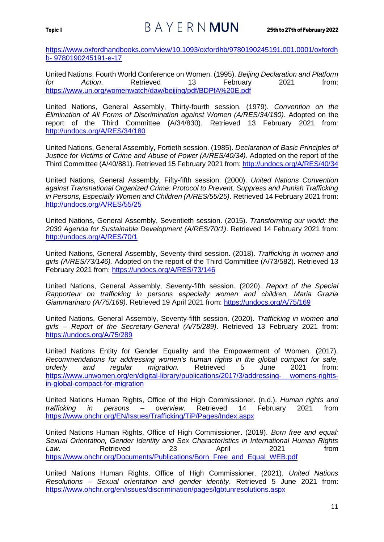[https://www.oxfordhandbooks.com/view/10.1093/oxfordhb/9780190245191.001.0001/oxfordh](https://www.oxfordhandbooks.com/view/10.1093/oxfordhb/9780190245191.001.0001/oxfordhb-%209780190245191-e-17) b- [9780190245191-e-17](https://www.oxfordhandbooks.com/view/10.1093/oxfordhb/9780190245191.001.0001/oxfordhb-%209780190245191-e-17)

United Nations, Fourth World Conference on Women. (1995). *Beijing Declaration and Platform for Action*. Retrieved 13 February 2021 from: <https://www.un.org/womenwatch/daw/beijing/pdf/BDPfA%20E.pdf>

United Nations, General Assembly, Thirty-fourth session. (1979). *Convention on the Elimination of All Forms of Discrimination against Women (A/RES/34/180)*. Adopted on the report of the Third Committee (A/34/830). Retrieved 13 February 2021 from: <http://undocs.org/A/RES/34/180>

United Nations, General Assembly, Fortieth session. (1985). *Declaration of Basic Principles of Justice for Victims of Crime and Abuse of Power (A/RES/40/34)*. Adopted on the report of the Third Committee (A/40/881). Retrieved 15 February 2021 from:<http://undocs.org/A/RES/40/34>

United Nations, General Assembly, Fifty-fifth session. (2000). *United Nations Convention against Transnational Organized Crime: Protocol to Prevent, Suppress and Punish Trafficking in Persons, Especially Women and Children (A/RES/55/25)*. Retrieved 14 February 2021 from: <http://undocs.org/A/RES/55/25>

United Nations, General Assembly, Seventieth session. (2015). *Transforming our world: the 2030 Agenda for Sustainable Development (A/RES/70/1)*. Retrieved 14 February 2021 from: <http://undocs.org/A/RES/70/1>

United Nations, General Assembly, Seventy-third session. (2018). *Trafficking in women and girls (A/RES/73/146).* Adopted on the report of the Third Committee (A/73/582). Retrieved 13 February 2021 from:<https://undocs.org/A/RES/73/146>

United Nations, General Assembly, Seventy-fifth session. (2020). *Report of the Special Rapporteur on trafficking in persons especially women and children, Maria Grazia Giammarinaro (A/75/169)*. Retrieved 19 April 2021 from:<https://undocs.org/A/75/169>

United Nations, General Assembly, Seventy-fifth session. (2020). *Trafficking in women and girls – Report of the Secretary-General (A/75/289)*. Retrieved 13 February 2021 from: <https://undocs.org/A/75/289>

United Nations Entity for Gender Equality and the Empowerment of Women. (2017). *Recommendations for addressing women's human rights in the global compact for safe, orderly and regular migration.* Retrieved 5 June 2021 from: [https://www.unwomen.org/en/digital-library/publications/2017/3/addressing-](https://www.unwomen.org/en/digital-library/publications/2017/3/addressing-%20womens-rights-in-global-compact-for-migration) womens-rights[in-global-compact-for-migration](https://www.unwomen.org/en/digital-library/publications/2017/3/addressing-%20womens-rights-in-global-compact-for-migration)

United Nations Human Rights, Office of the High Commissioner. (n.d.). *Human rights and trafficking in persons – overview*. Retrieved 14 February 2021 from <https://www.ohchr.org/EN/Issues/Trafficking/TiP/Pages/Index.aspx>

United Nations Human Rights, Office of High Commissioner. (2019). *Born free and equal: Sexual Orientation, Gender Identity and Sex Characteristics in International Human Rights Law*. Retrieved 23 April 2021 from [https://www.ohchr.org/Documents/Publications/Born\\_Free\\_and\\_Equal\\_WEB.pdf](https://www.ohchr.org/Documents/Publications/Born_Free_and_Equal_WEB.pdf)

United Nations Human Rights, Office of High Commissioner. (2021). *United Nations Resolutions – Sexual orientation and gender identity*. Retrieved 5 June 2021 from: <https://www.ohchr.org/en/issues/discrimination/pages/lgbtunresolutions.aspx>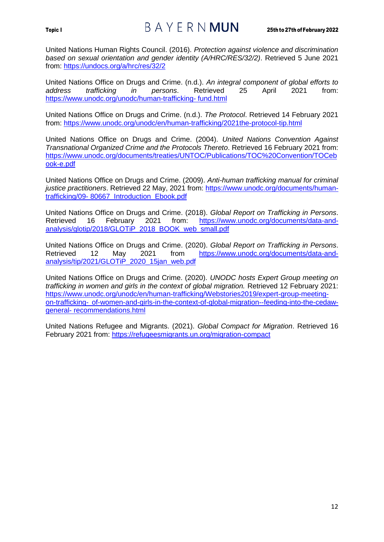## Topic I 25th to 27th of February 2022

United Nations Human Rights Council. (2016). *Protection against violence and discrimination based on sexual orientation and gender identity (A/HRC/RES/32/2)*. Retrieved 5 June 2021 from:<https://undocs.org/a/hrc/res/32/2>

United Nations Office on Drugs and Crime. (n.d.). *An integral component of global efforts to address trafficking in persons*. Retrieved 25 April 2021 from: [https://www.unodc.org/unodc/human-trafficking-](https://www.unodc.org/unodc/human-trafficking-%20fund.html) fund.html

United Nations Office on Drugs and Crime. (n.d.). *The Protocol*. Retrieved 14 February 2021 from:<https://www.unodc.org/unodc/en/human-trafficking/2021the-protocol-tip.html>

United Nations Office on Drugs and Crime. (2004). *United Nations Convention Against Transnational Organized Crime and the Protocols Thereto*. Retrieved 16 February 2021 from: [https://www.unodc.org/documents/treaties/UNTOC/Publications/TOC%20Convention/TOCeb](https://www.unodc.org/documents/treaties/UNTOC/Publications/TOC%20Convention/TOCebook-e.pdf) [ook-e.pdf](https://www.unodc.org/documents/treaties/UNTOC/Publications/TOC%20Convention/TOCebook-e.pdf)

United Nations Office on Drugs and Crime. (2009). *Anti-human trafficking manual for criminal justice practitioners*. Retrieved 22 May, 2021 from: [https://www.unodc.org/documents/human](https://www.unodc.org/documents/human-trafficking/09-%2080667_Introduction_Ebook.pdf)trafficking/09- [80667\\_Introduction\\_Ebook.pdf](https://www.unodc.org/documents/human-trafficking/09-%2080667_Introduction_Ebook.pdf)

United Nations Office on Drugs and Crime. (2018). *Global Report on Trafficking in Persons*. Retrieved 16 February 2021 from: [https://www.unodc.org/documents/data-and](https://www.unodc.org/documents/data-and-%20analysis/glotip/2018/GLOTiP_2018_BOOK_web_small.pdf)[analysis/glotip/2018/GLOTiP\\_2018\\_BOOK\\_web\\_small.pdf](https://www.unodc.org/documents/data-and-%20analysis/glotip/2018/GLOTiP_2018_BOOK_web_small.pdf)

United Nations Office on Drugs and Crime. (2020). *Global Report on Trafficking in Persons*. Retrieved 12 May 2021 from [https://www.unodc.org/documents/data-and](https://www.unodc.org/documents/data-and-%20analysis/tip/2021/GLOTiP_2020_15jan_web.pdf)[analysis/tip/2021/GLOTiP\\_2020\\_15jan\\_web.pdf](https://www.unodc.org/documents/data-and-%20analysis/tip/2021/GLOTiP_2020_15jan_web.pdf)

United Nations Office on Drugs and Crime. (2020). *UNODC hosts Expert Group meeting on trafficking in women and girls in the context of global migration.* Retrieved 12 February 2021: [https://www.unodc.org/unodc/en/human-trafficking/Webstories2019/expert-group-meeting](https://www.unodc.org/unodc/en/human-trafficking/Webstories2019/expert-group-meeting-on-trafficking-%20of-women-and-girls-in-the-context-of-global-migration--feeding-into-the-cedaw-general-%20recommendations.html)on-trafficking- [of-women-and-girls-in-the-context-of-global-migration--feeding-into-the-cedaw](https://www.unodc.org/unodc/en/human-trafficking/Webstories2019/expert-group-meeting-on-trafficking-%20of-women-and-girls-in-the-context-of-global-migration--feeding-into-the-cedaw-general-%20recommendations.html)general- [recommendations.html](https://www.unodc.org/unodc/en/human-trafficking/Webstories2019/expert-group-meeting-on-trafficking-%20of-women-and-girls-in-the-context-of-global-migration--feeding-into-the-cedaw-general-%20recommendations.html)

United Nations Refugee and Migrants. (2021). *Global Compact for Migration*. Retrieved 16 February 2021 from:<https://refugeesmigrants.un.org/migration-compact>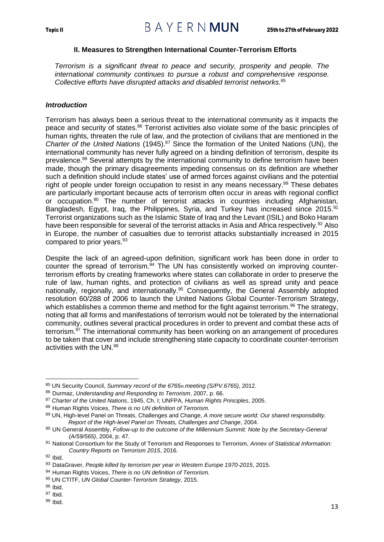### **II. Measures to Strengthen International Counter-Terrorism Efforts**

<span id="page-15-0"></span>*Terrorism is a significant threat to peace and security, prosperity and people. The international community continues to pursue a robust and comprehensive response. Collective efforts have disrupted attacks and disabled terrorist networks.*<sup>85</sup>

### <span id="page-15-1"></span>*Introduction*

Terrorism has always been a serious threat to the international community as it impacts the peace and security of states.<sup>86</sup> Terrorist activities also violate some of the basic principles of human rights, threaten the rule of law, and the protection of civilians that are mentioned in the *Charter of the United Nations* (1945).<sup>87</sup> Since the formation of the United Nations (UN), the international community has never fully agreed on a binding definition of terrorism, despite its prevalence.<sup>88</sup> Several attempts by the international community to define terrorism have been made, though the primary disagreements impeding consensus on its definition are whether such a definition should include states' use of armed forces against civilians and the potential right of people under foreign occupation to resist in any means necessary.<sup>89</sup> These debates are particularly important because acts of terrorism often occur in areas with regional conflict or occupation.<sup>90</sup> The number of terrorist attacks in countries including Afghanistan, Bangladesh, Egypt, Iraq, the Philippines, Syria, and Turkey has increased since 2015.<sup>91</sup> Terrorist organizations such as the Islamic State of Iraq and the Levant (ISIL) and Boko Haram have been responsible for several of the terrorist attacks in Asia and Africa respectively.<sup>92</sup> Also in Europe, the number of casualties due to terrorist attacks substantially increased in 2015 compared to prior years.<sup>93</sup>

Despite the lack of an agreed-upon definition, significant work has been done in order to counter the spread of terrorism.<sup>94</sup> The UN has consistently worked on improving counterterrorism efforts by creating frameworks where states can collaborate in order to preserve the rule of law, human rights, and protection of civilians as well as spread unity and peace nationally, regionally, and internationally.<sup>95</sup> Consequently, the General Assembly adopted resolution 60/288 of 2006 to launch the United Nations Global Counter-Terrorism Strategy, which establishes a common theme and method for the fight against terrorism.<sup>96</sup> The strategy, noting that all forms and manifestations of terrorism would not be tolerated by the international community, outlines several practical procedures in order to prevent and combat these acts of terrorism.<sup>97</sup> The international community has been working on an arrangement of procedures to be taken that cover and include strengthening state capacity to coordinate counter-terrorism activities with the UN.<sup>98</sup>

- <sup>97</sup> Ibid.
- <sup>98</sup> Ibid.

<sup>85</sup> UN Security Council, *Summary record of the 6765th meeting (S/PV.6765)*, 2012.

<sup>86</sup> Durmaz, *Understanding and Responding to Terrorism*, 2007, p. 66.

<sup>87</sup> *Charter of the United Nations*, 1945, Ch. I; UNFPA, *Human Rights Principles*, 2005.

<sup>88</sup> Human Rights Voices, *There is no UN definition of Terrorism.*

<sup>89</sup> UN, High-level Panel on Threats, Challenges and Change, *A more secure world: Our shared responsibility. Report of the High-level Panel on Threats, Challenges and Change*, 2004.

<sup>90</sup> UN General Assembly, *Follow-up to the outcome of the Millennium Summit: Note by the Secretary-General (A/59/565)*, 2004, p. 47.

<sup>91</sup> National Consortium for the Study of Terrorism and Responses to Terrorism, *Annex of Statistical Information: Country Reports on Terrorism 2015*, 2016.

<sup>92</sup> Ibid.

<sup>93</sup> DataGraver, *People killed by terrorism per year in Western Europe 1970-2015*, 2015.

<sup>94</sup> Human Rights Voices, *There is no UN definition of Terrorism.*

<sup>95</sup> UN CTITF, *UN Global Counter-Terrorism Strategy*, 2015.

 $96$  Ibid.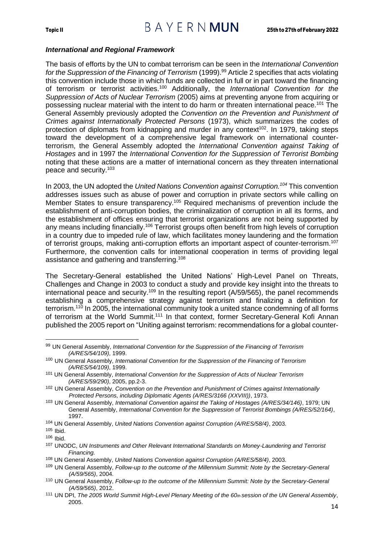#### <span id="page-16-0"></span>*International and Regional Framework*

The basis of efforts by the UN to combat terrorism can be seen in the *International Convention for the Suppression of the Financing of Terrorism* (1999).<sup>99</sup> Article 2 specifies that acts violating this convention include those in which funds are collected in full or in part toward the financing of terrorism or terrorist activities.<sup>100</sup> Additionally, the *International Convention for the Suppression of Acts of Nuclear Terrorism* (2005) aims at preventing anyone from acquiring or possessing nuclear material with the intent to do harm or threaten international peace.<sup>101</sup> The General Assembly previously adopted the *Convention on the Prevention and Punishment of Crimes against Internationally Protected Persons* (1973), which summarizes the codes of protection of diplomats from kidnapping and murder in any context<sup>102</sup>. In 1979, taking steps toward the development of a comprehensive legal framework on international counterterrorism, the General Assembly adopted the *International Convention against Taking of Hostages* and in 1997 the *International Convention for the Suppression of Terrorist Bombing*  noting that these actions are a matter of international concern as they threaten international peace and security.<sup>103</sup>

In 2003, the UN adopted the *United Nations Convention against Corruption.<sup>104</sup>* This convention addresses issues such as abuse of power and corruption in private sectors while calling on Member States to ensure transparency.<sup>105</sup> Required mechanisms of prevention include the establishment of anti-corruption bodies, the criminalization of corruption in all its forms, and the establishment of offices ensuring that terrorist organizations are not being supported by any means including financially.<sup>106</sup> Terrorist groups often benefit from high levels of corruption in a country due to impeded rule of law, which facilitates money laundering and the formation of terrorist groups, making anti-corruption efforts an important aspect of counter-terrorism.<sup>107</sup> Furthermore, the convention calls for international cooperation in terms of providing legal assistance and gathering and transferring.<sup>108</sup>

The Secretary-General established the United Nations' High-Level Panel on Threats, Challenges and Change in 2003 to conduct a study and provide key insight into the threats to international peace and security.<sup>109</sup> In the resulting report ( $A/59/565$ ), the panel recommends establishing a comprehensive strategy against terrorism and finalizing a definition for terrorism.<sup>110</sup> In 2005, the international community took a united stance condemning of all forms of terrorism at the World Summit.<sup>111</sup> In that context, former Secretary-General Kofi Annan published the 2005 report on "Uniting against terrorism: recommendations for a global counter-

<sup>99</sup> UN General Assembly, *International Convention for the Suppression of the Financing of Terrorism (A/RES/54/109)*, 1999.

<sup>100</sup> UN General Assembly, *International Convention for the Suppression of the Financing of Terrorism (A/RES/54/109)*, 1999.

<sup>101</sup> UN General Assembly, *International Convention for the Suppression of Acts of Nuclear Terrorism (A/RES/59/290)*, 2005, pp.2-3.

<sup>102</sup> UN General Assembly, *Convention on the Prevention and Punishment of Crimes against Internationally Protected Persons, including Diplomatic Agents (A/RES/3166 (XXVIII))*, 1973.

<sup>103</sup> UN General Assembly, *International Convention against the Taking of Hostages (A/RES/34/146)*, 1979; UN General Assembly, *International Convention for the Suppression of Terrorist Bombings (A/RES/52/164)*, 1997.

<sup>104</sup> UN General Assembly, *United Nations Convention against Corruption (A/RES/58/4)*, 2003.

 $105$  Ibid.

<sup>106</sup> Ibid.

<sup>107</sup> UNODC, *UN Instruments and Other Relevant International Standards on Money-Laundering and Terrorist Financing.*

<sup>108</sup> UN General Assembly, *United Nations Convention against Corruption (A/RES/58/4)*, 2003.

<sup>109</sup> UN General Assembly, *Follow-up to the outcome of the Millennium Summit: Note by the Secretary-General (A/59/565)*, 2004*.*

<sup>110</sup> UN General Assembly, *Follow-up to the outcome of the Millennium Summit: Note by the Secretary-General (A/59/565)*, 2012.

<sup>111</sup> UN DPI, *The 2005 World Summit High-Level Plenary Meeting of the 60th session of the UN General Assembly*, 2005.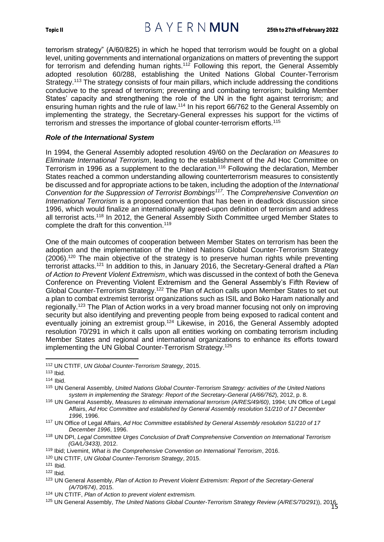terrorism strategy" (A/60/825) in which he hoped that terrorism would be fought on a global level, uniting governments and international organizations on matters of preventing the support for terrorism and defending human rights.<sup>112</sup> Following this report, the General Assembly adopted resolution 60/288, establishing the United Nations Global Counter-Terrorism Strategy.<sup>113</sup> The strategy consists of four main pillars, which include addressing the conditions conducive to the spread of terrorism; preventing and combating terrorism; building Member States' capacity and strengthening the role of the UN in the fight against terrorism; and ensuring human rights and the rule of law.<sup>114</sup> In his report 66/762 to the General Assembly on implementing the strategy, the Secretary-General expresses his support for the victims of terrorism and stresses the importance of global counter-terrorism efforts.<sup>115</sup>

#### <span id="page-17-0"></span>*Role of the International System*

In 1994, the General Assembly adopted resolution 49/60 on the *Declaration on Measures to Eliminate International Terrorism*, leading to the establishment of the Ad Hoc Committee on Terrorism in 1996 as a supplement to the declaration.<sup>116</sup> Following the declaration, Member States reached a common understanding allowing counterterrorism measures to consistently be discussed and for appropriate actions to be taken, including the adoption of the *International Convention for the Suppression of Terrorist Bombings<sup>117</sup> .* The *Comprehensive Convention on International Terrorism* is a proposed convention that has been in deadlock discussion since 1996, which would finalize an internationally agreed-upon definition of terrorism and address all terrorist acts.<sup>118</sup> In 2012, the General Assembly Sixth Committee urged Member States to complete the draft for this convention.<sup>119</sup>

One of the main outcomes of cooperation between Member States on terrorism has been the adoption and the implementation of the United Nations Global Counter-Terrorism Strategy  $(2006)$ <sup>120</sup> The main objective of the strategy is to preserve human rights while preventing terrorist attacks.<sup>121</sup> In addition to this, in January 2016, the Secretary-General drafted a *Plan of Action to Prevent Violent Extremism*, which was discussed in the context of both the Geneva Conference on Preventing Violent Extremism and the General Assembly's Fifth Review of Global Counter-Terrorism Strategy.<sup>122</sup> The Plan of Action calls upon Member States to set out a plan to combat extremist terrorist organizations such as ISIL and Boko Haram nationally and regionally.<sup>123</sup> The Plan of Action works in a very broad manner focusing not only on improving security but also identifying and preventing people from being exposed to radical content and eventually joining an extremist group.<sup>124</sup> Likewise, in 2016, the General Assembly adopted resolution 70/291 in which it calls upon all entities working on combating terrorism including Member States and regional and international organizations to enhance its efforts toward implementing the UN Global Counter-Terrorism Strategy.<sup>125</sup>

<sup>112</sup> UN CTITF, *UN Global Counter-Terrorism Strategy*, 2015.

 $113$  Ibid.

 $114$  Ibid.

<sup>115</sup> UN General Assembly, *United Nations Global Counter-Terrorism Strategy: activities of the United Nations system in implementing the Strategy: Report of the Secretary-General (A/66/762*), 2012, p. 8.

<sup>116</sup> UN General Assembly, *Measures to eliminate international terrorism (A/RES/49/60)*, 1994; UN Office of Legal Affairs, *Ad Hoc Committee and established by General Assembly resolution 51/210 of 17 December 1996*, 1996.

<sup>117</sup> UN Office of Legal Affairs, *Ad Hoc Committee established by General Assembly resolution 51/210 of 17 December 1996*, 1996.

<sup>118</sup> UN DPI, *Legal Committee Urges Conclusion of Draft Comprehensive Convention on International Terrorism (GA/L/3433)*, 2012.

<sup>119</sup> Ibid; Livemint, *What is the Comprehensive Convention on International Terrorism*, 2016.

<sup>120</sup> UN CTITF, *UN Global Counter-Terrorism Strategy*, 2015.

<sup>121</sup> Ibid.

 $122$  Ibid.

<sup>123</sup> UN General Assembly, *Plan of Action to Prevent Violent Extremism: Report of the Secretary-General (A/70/674)*, 2015.

<sup>124</sup> UN CTITF, *Plan of Action to prevent violent extremism.*

<sup>15</sup> <sup>125</sup> UN General Assembly, *The United Nations Global Counter-Terrorism Strategy Review (A/RES/70/291*)), 2016.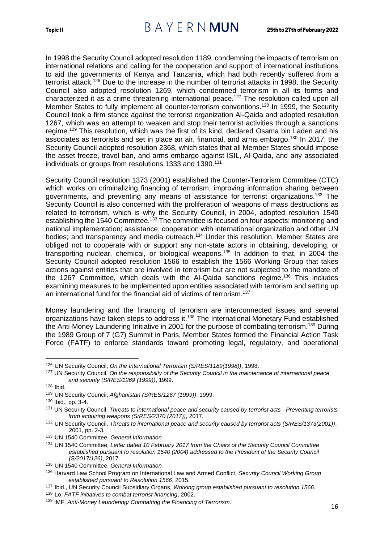In 1998 the Security Council adopted resolution 1189, condemning the impacts of terrorism on international relations and calling for the cooperation and support of international institutions to aid the governments of Kenya and Tanzania, which had both recently suffered from a terrorist attack.<sup>126</sup> Due to the increase in the number of terrorist attacks in 1998, the Security Council also adopted resolution 1269, which condemned terrorism in all its forms and characterized it as a crime threatening international peace.<sup>127</sup> The resolution called upon all Member States to fully implement all counter-terrorism conventions.<sup>128</sup> In 1999, the Security Council took a firm stance against the terrorist organization Al-Qaida and adopted resolution 1267, which was an attempt to weaken and stop their terrorist activities through a sanctions regime.<sup>129</sup> This resolution, which was the first of its kind, declared Osama bin Laden and his associates as terrorists and set in place an air, financial, and arms embargo.<sup>130</sup> In 2017, the Security Council adopted resolution 2368, which states that all Member States should impose the asset freeze, travel ban, and arms embargo against ISIL, Al-Qaida, and any associated individuals or groups from resolutions 1333 and 1390.<sup>131</sup>

Security Council resolution 1373 (2001) established the Counter-Terrorism Committee (CTC) which works on criminalizing financing of terrorism, improving information sharing between governments, and preventing any means of assistance for terrorist organizations.<sup>132</sup> The Security Council is also concerned with the proliferation of weapons of mass destructions as related to terrorism, which is why the Security Council, in 2004, adopted resolution 1540 establishing the 1540 Committee.<sup>133</sup> The committee is focused on four aspects: monitoring and national implementation; assistance; cooperation with international organization and other UN bodies; and transparency and media outreach.<sup>134</sup> Under this resolution, Member States are obliged not to cooperate with or support any non-state actors in obtaining, developing, or transporting nuclear, chemical, or biological weapons.<sup>135</sup> In addition to that, in 2004 the Security Council adopted resolution 1566 to establish the 1566 Working Group that takes actions against entities that are involved in terrorism but are not subjected to the mandate of the 1267 Committee, which deals with the Al-Qaida sanctions regime.<sup>136</sup> This includes examining measures to be implemented upon entities associated with terrorism and setting up an international fund for the financial aid of victims of terrorism.<sup>137</sup>

Money laundering and the financing of terrorism are interconnected issues and several organizations have taken steps to address it.<sup>138</sup> The International Monetary Fund established the Anti-Money Laundering Initiative in 2001 for the purpose of combating terrorism.<sup>139</sup> During the 1989 Group of 7 (G7) Summit in Paris, Member States formed the Financial Action Task Force (FATF) to enforce standards toward promoting legal, regulatory, and operational

<sup>126</sup> UN Security Council, *On the International Terrorism (S/RES/1189(1998))*, 1998.

<sup>127</sup> UN Security Council, *On the responsibility of the Security Council in the maintenance of international peace and security (S/RES/1269 (1999))*, 1999.

<sup>128</sup> Ibid.

<sup>129</sup> UN Security Council, *Afghanistan (S/RES/1267 (1999))*, 1999.

<sup>130</sup> Ibid., pp. 3-4.

<sup>131</sup> UN Security Council, *Threats to international peace and security caused by terrorist acts - Preventing terrorists from acquiring weapons (S/RES/2370 (2017))*, 2017.

<sup>132</sup> UN Security Council, *Threats to international peace and security caused by terrorist acts (S/RES/1373(2001))*, 2001, pp. 2-3.

<sup>133</sup> UN 1540 Committee, *General Information.*

<sup>134</sup> UN 1540 Committee, *Letter dated 10 February 2017 from the Chairs of the Security Council Committee established pursuant to resolution 1540 (2004) addressed to the President of the Security Council (S/2017/126)*, 2017.

<sup>135</sup> UN 1540 Committee, *General Information.*

<sup>136</sup> Harvard Law School Program on International Law and Armed Conflict, *Security Council Working Group established pursuant to Resolution 1566*, 2015.

<sup>137</sup> Ibid., UN Security Council Subsidiary Organs, *Working group established pursuant to resolution 1566.*

<sup>138</sup> Lo, *FATF initiatives to combat terrorist financing*, 2002.

<sup>139</sup> IMF, *Anti-Money Laundering/ Combatting the Financing of Terrorism.*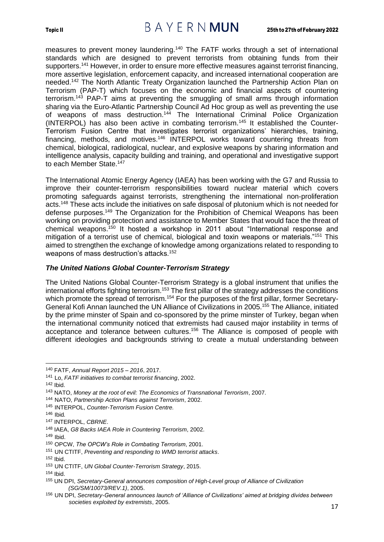measures to prevent money laundering.<sup>140</sup> The FATF works through a set of international standards which are designed to prevent terrorists from obtaining funds from their supporters.<sup>141</sup> However, in order to ensure more effective measures against terrorist financing, more assertive legislation, enforcement capacity, and increased international cooperation are needed.<sup>142</sup> The North Atlantic Treaty Organization launched the Partnership Action Plan on Terrorism (PAP-T) which focuses on the economic and financial aspects of countering terrorism.<sup>143</sup> PAP-T aims at preventing the smuggling of small arms through information sharing via the Euro-Atlantic Partnership Council Ad Hoc group as well as preventing the use of weapons of mass destruction.<sup>144</sup> The International Criminal Police Organization (INTERPOL) has also been active in combating terrorism.<sup>145</sup> It established the Counter-Terrorism Fusion Centre that investigates terrorist organizations' hierarchies, training, financing, methods, and motives.<sup>146</sup> INTERPOL works toward countering threats from chemical, biological, radiological, nuclear, and explosive weapons by sharing information and intelligence analysis, capacity building and training, and operational and investigative support to each Member State.<sup>147</sup>

The International Atomic Energy Agency (IAEA) has been working with the G7 and Russia to improve their counter-terrorism responsibilities toward nuclear material which covers promoting safeguards against terrorists, strengthening the international non-proliferation acts.<sup>148</sup> These acts include the initiatives on safe disposal of plutonium which is not needed for defense purposes.<sup>149</sup> The Organization for the Prohibition of Chemical Weapons has been working on providing protection and assistance to Member States that would face the threat of chemical weapons.<sup>150</sup> It hosted a workshop in 2011 about "International response and mitigation of a terrorist use of chemical, biological and toxin weapons or materials."<sup>151</sup> This aimed to strengthen the exchange of knowledge among organizations related to responding to weapons of mass destruction's attacks.<sup>152</sup>

### <span id="page-19-0"></span>*The United Nations Global Counter-Terrorism Strategy*

The United Nations Global Counter-Terrorism Strategy is a global instrument that unifies the international efforts fighting terrorism.<sup>153</sup> The first pillar of the strategy addresses the conditions which promote the spread of terrorism.<sup>154</sup> For the purposes of the first pillar, former Secretary-General Kofi Annan launched the UN Alliance of Civilizations in 2005.<sup>155</sup> The Alliance, initiated by the prime minster of Spain and co-sponsored by the prime minster of Turkey, began when the international community noticed that extremists had caused major instability in terms of acceptance and tolerance between cultures.<sup>156</sup> The Alliance is composed of people with different ideologies and backgrounds striving to create a mutual understanding between

<sup>149</sup> Ibid.

- <sup>151</sup> UN CTITF, *Preventing and responding to WMD terrorist attacks*.
- <sup>152</sup> Ibid.

<sup>156</sup> UN DPI, *Secretary-General announces launch of 'Alliance of Civilizations' aimed at bridging divides between societies exploited by extremists*, 2005.

<sup>140</sup> FATF, *Annual Report 2015 – 2016*, 2017.

<sup>141</sup> Lo, *FATF initiatives to combat terrorist financing*, 2002.

<sup>142</sup> Ibid.

<sup>143</sup> NATO, *Money at the root of evil: The Economics of Transnational Terrorism*, 2007.

<sup>144</sup> NATO, *Partnership Action Plans against Terrorism*, 2002.

<sup>145</sup> INTERPOL, *Counter-Terrorism Fusion Centre.*

<sup>146</sup> Ibid*.*

<sup>147</sup> INTERPOL, *CBRNE*.

<sup>148</sup> IAEA, *G8 Backs IAEA Role in Countering Terrorism*, 2002.

<sup>150</sup> OPCW, *The OPCW's Role in Combating Terrorism*, 2001.

<sup>153</sup> UN CTITF, *UN Global Counter-Terrorism Strategy*, 2015.

 $154$  Ibid.

<sup>155</sup> UN DPI, *Secretary-General announces composition of High-Level group of Alliance of Civilization (SG/SM/10073/REV.1)*, 2005.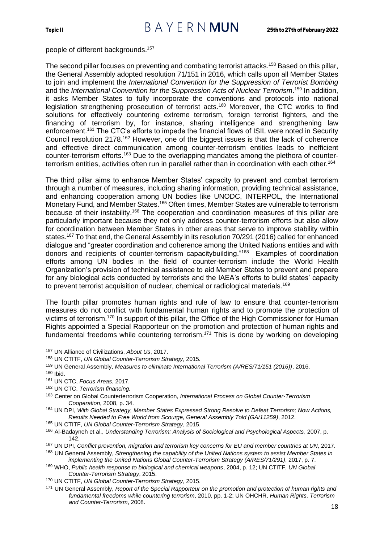people of different backgrounds.<sup>157</sup>

The second pillar focuses on preventing and combating terrorist attacks.<sup>158</sup> Based on this pillar, the General Assembly adopted resolution 71/151 in 2016, which calls upon all Member States to join and implement the *International Convention for the Suppression of Terrorist Bombing*  and the *International Convention for the Suppression Acts of Nuclear Terrorism*. <sup>159</sup> In addition, it asks Member States to fully incorporate the conventions and protocols into national legislation strengthening prosecution of terrorist acts.<sup>160</sup> Moreover, the CTC works to find solutions for effectively countering extreme terrorism, foreign terrorist fighters, and the financing of terrorism by, for instance, sharing intelligence and strengthening law enforcement.<sup>161</sup> The CTC's efforts to impede the financial flows of ISIL were noted in Security Council resolution 2178.<sup>162</sup> However, one of the biggest issues is that the lack of coherence and effective direct communication among counter-terrorism entities leads to inefficient counter-terrorism efforts.<sup>163</sup> Due to the overlapping mandates among the plethora of counterterrorism entities, activities often run in parallel rather than in coordination with each other.<sup>164</sup>

The third pillar aims to enhance Member States' capacity to prevent and combat terrorism through a number of measures, including sharing information, providing technical assistance, and enhancing cooperation among UN bodies like UNODC, INTERPOL, the International Monetary Fund, and Member States.<sup>165</sup> Often times, Member States are vulnerable to terrorism because of their instability.<sup>166</sup> The cooperation and coordination measures of this pillar are particularly important because they not only address counter-terrorism efforts but also allow for coordination between Member States in other areas that serve to improve stability within states.<sup>167</sup> To that end, the General Assembly in its resolution 70/291 (2016) called for enhanced dialogue and "greater coordination and coherence among the United Nations entities and with donors and recipients of counter-terrorism capacitybuilding."<sup>168</sup> Examples of coordination efforts among UN bodies in the field of counter-terrorism include the World Health Organization's provision of technical assistance to aid Member States to prevent and prepare for any biological acts conducted by terrorists and the IAEA's efforts to build states' capacity to prevent terrorist acquisition of nuclear, chemical or radiological materials.<sup>169</sup>

The fourth pillar promotes human rights and rule of law to ensure that counter-terrorism measures do not conflict with fundamental human rights and to promote the protection of victims of terrorism.<sup>170</sup> In support of this pillar, the Office of the High Commissioner for Human Rights appointed a Special Rapporteur on the promotion and protection of human rights and fundamental freedoms while countering terrorism.<sup>171</sup> This is done by working on developing

<sup>157</sup> UN Alliance of Civilizations, *About Us*, 2017.

<sup>158</sup> UN CTITF, *UN Global Counter-Terrorism Strategy*, 2015*.*

<sup>159</sup> UN General Assembly, *Measures to eliminate International Terrorism (A/RES/71/151 (2016))*, 2016.

 $160$  Ibid.

<sup>161</sup> UN CTC, *Focus Areas*, 2017.

<sup>162</sup> UN CTC, *Terrorism financing.*

<sup>163</sup> Center on Global Counterterrorism Cooperation, *International Process on Global Counter-Terrorism Cooperation*, 2008, p. 34.

<sup>164</sup> UN DPI, *With Global Strategy, Member States Expressed Strong Resolve to Defeat Terrorism; Now Actions, Results Needed to Free World from Scourge, General Assembly Told (GA/11259)*, 2012.

<sup>165</sup> UN CTITF, *UN Global Counter-Terrorism Strategy*, 2015.

<sup>166</sup> Al-Badayneh et al., *Understanding Terrorism: Analysis of Sociological and Psychological Aspects*, 2007, p. 142.

<sup>167</sup> UN DPI, *Conflict prevention, migration and terrorism key concerns for EU and member countries at UN*, 2017.

<sup>168</sup> UN General Assembly, *Strengthening the capability of the United Nations system to assist Member States in implementing the United Nations Global Counter-Terrorism Strategy (A/RES/71/291)*, 2017, p. 7.

<sup>169</sup> WHO, *Public health response to biological and chemical weapons*, 2004, p. 12; UN CTITF, *UN Global Counter-Terrorism Strategy*, 2015.

<sup>170</sup> UN CTITF, *UN Global Counter-Terrorism Strategy*, 2015.

<sup>171</sup> UN General Assembly, *Report of the Special Rapporteur on the promotion and protection of human rights and fundamental freedoms while countering terrorism*, 2010, pp. 1-2; UN OHCHR, *Human Rights, Terrorism and Counter-Terrorism*, 2008.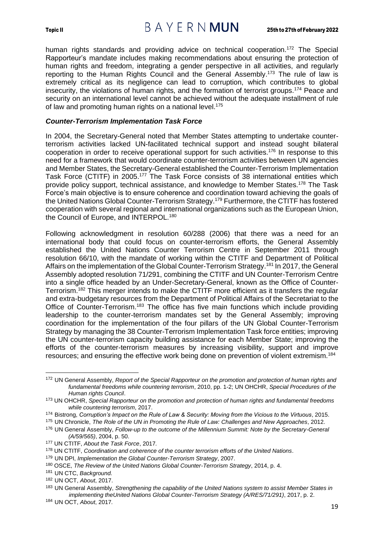Topic II  $B \wedge Y \in R \wedge MUN$  25th to 27th of February 2022

human rights standards and providing advice on technical cooperation.<sup>172</sup> The Special Rapporteur's mandate includes making recommendations about ensuring the protection of human rights and freedom, integrating a gender perspective in all activities, and regularly reporting to the Human Rights Council and the General Assembly.<sup>173</sup> The rule of law is extremely critical as its negligence can lead to corruption, which contributes to global insecurity, the violations of human rights, and the formation of terrorist groups.<sup>174</sup> Peace and security on an international level cannot be achieved without the adequate installment of rule of law and promoting human rights on a national level.<sup>175</sup>

#### <span id="page-21-0"></span>*Counter-Terrorism Implementation Task Force*

In 2004, the Secretary-General noted that Member States attempting to undertake counterterrorism activities lacked UN-facilitated technical support and instead sought bilateral cooperation in order to receive operational support for such activities.<sup>176</sup> In response to this need for a framework that would coordinate counter-terrorism activities between UN agencies and Member States, the Secretary-General established the Counter-Terrorism Implementation Task Force (CTITF) in 2005.<sup>177</sup> The Task Force consists of 38 international entities which provide policy support, technical assistance, and knowledge to Member States.<sup>178</sup> The Task Force's main objective is to ensure coherence and coordination toward achieving the goals of the United Nations Global Counter-Terrorism Strategy.<sup>179</sup> Furthermore, the CTITF has fostered cooperation with several regional and international organizations such as the European Union, the Council of Europe, and INTERPOL.<sup>180</sup>

Following acknowledgment in resolution 60/288 (2006) that there was a need for an international body that could focus on counter-terrorism efforts, the General Assembly established the United Nations Counter Terrorism Centre in September 2011 through resolution 66/10, with the mandate of working within the CTITF and Department of Political Affairs on the implementation of the Global Counter-Terrorism Strategy.<sup>181</sup> In 2017, the General Assembly adopted resolution 71/291, combining the CTITF and UN Counter-Terrorism Centre into a single office headed by an Under-Secretary-General, known as the Office of Counter-Terrorism.<sup>182</sup> This merger intends to make the CTITF more efficient as it transfers the regular and extra-budgetary resources from the Department of Political Affairs of the Secretariat to the Office of Counter-Terrorism.<sup>183</sup> The office has five main functions which include providing leadership to the counter-terrorism mandates set by the General Assembly; improving coordination for the implementation of the four pillars of the UN Global Counter-Terrorism Strategy by managing the 38 Counter-Terrorism Implementation Task force entities; improving the UN counter-terrorism capacity building assistance for each Member State; improving the efforts of the counter-terrorism measures by increasing visibility, support and improve resources; and ensuring the effective work being done on prevention of violent extremism.<sup>184</sup>

<sup>172</sup> UN General Assembly, *Report of the Special Rapporteur on the promotion and protection of human rights and fundamental freedoms while countering terrorism*, 2010, pp. 1-2; UN OHCHR, *Special Procedures of the Human rights Council*.

<sup>173</sup> UN OHCHR, *Special Rapporteur on the promotion and protection of human rights and fundamental freedoms while countering terrorism*, 2017.

<sup>174</sup> Bistrong, *Corruption's Impact on the Rule of Law & Security: Moving from the Vicious to the Virtuous*, 2015.

<sup>175</sup> UN Chronicle, *The Role of the UN in Promoting the Rule of Law: Challenges and New Approaches*, 2012.

<sup>176</sup> UN General Assembly, *Follow-up to the outcome of the Millennium Summit: Note by the Secretary-General (A/59/565)*, 2004, p. 50.

<sup>177</sup> UN CTITF, *About the Task Force*, 2017*.*

<sup>178</sup> UN CTITF, *Coordination and coherence of the counter terrorism efforts of the United Nations*.

<sup>179</sup> UN DPI, *Implementation the Global Counter-Terrorism Strategy*, 2007.

<sup>180</sup> OSCE, *The Review of the United Nations Global Counter-Terrorism Strategy*, 2014, p. 4.

<sup>181</sup> UN CTC, *Background.*

<sup>182</sup> UN OCT, *About*, 2017.

<sup>183</sup> UN General Assembly, *Strengthening the capability of the United Nations system to assist Member States in implementing theUnited Nations Global Counter-Terrorism Strategy (A/RES/71/291)*, 2017, p. 2.

<sup>184</sup> UN OCT, *About*, 2017*.*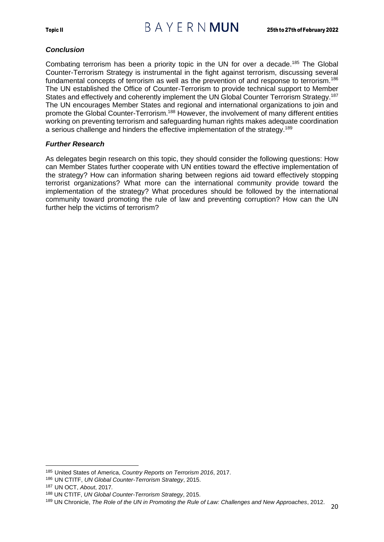### <span id="page-22-0"></span>*Conclusion*

Combating terrorism has been a priority topic in the UN for over a decade.<sup>185</sup> The Global Counter-Terrorism Strategy is instrumental in the fight against terrorism, discussing several fundamental concepts of terrorism as well as the prevention of and response to terrorism.<sup>186</sup> The UN established the Office of Counter-Terrorism to provide technical support to Member States and effectively and coherently implement the UN Global Counter Terrorism Strategy.<sup>187</sup> The UN encourages Member States and regional and international organizations to join and promote the Global Counter-Terrorism.<sup>188</sup> However, the involvement of many different entities working on preventing terrorism and safeguarding human rights makes adequate coordination a serious challenge and hinders the effective implementation of the strategy.<sup>189</sup>

#### <span id="page-22-1"></span>*Further Research*

As delegates begin research on this topic, they should consider the following questions: How can Member States further cooperate with UN entities toward the effective implementation of the strategy? How can information sharing between regions aid toward effectively stopping terrorist organizations? What more can the international community provide toward the implementation of the strategy? What procedures should be followed by the international community toward promoting the rule of law and preventing corruption? How can the UN further help the victims of terrorism?

<sup>185</sup> United States of America, *Country Reports on Terrorism 2016*, 2017.

<sup>186</sup> UN CTITF, *UN Global Counter-Terrorism Strategy*, 2015.

<sup>187</sup> UN OCT, *About*, 2017*.*

<sup>188</sup> UN CTITF, *UN Global Counter-Terrorism Strategy*, 2015.

<sup>189</sup> UN Chronicle, *The Role of the UN in Promoting the Rule of Law: Challenges and New Approaches*, 2012.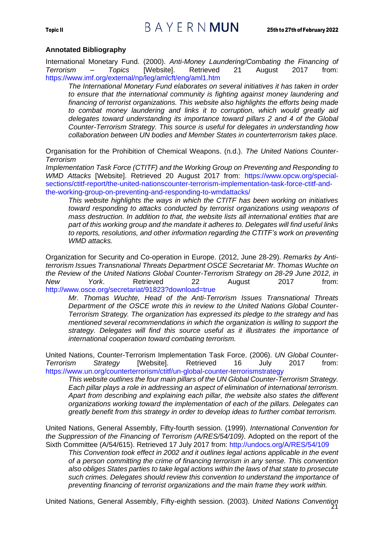#### **Annotated Bibliography**

International Monetary Fund. (2000). *Anti-Money Laundering/Combating the Financing of Terrorism – Topics* [Website]. Retrieved 21 August 2017 from: https://www.imf.org/external/np/leg/amlcft/eng/aml1.htm

*The International Monetary Fund elaborates on several initiatives it has taken in order to ensure that the international community is fighting against money laundering and financing of terrorist organizations. This website also highlights the efforts being made to combat money laundering and links it to corruption, which would greatly aid delegates toward understanding its importance toward pillars 2 and 4 of the Global Counter-Terrorism Strategy. This source is useful for delegates in understanding how collaboration between UN bodies and Member States in counterterrorism takes place.*

Organisation for the Prohibition of Chemical Weapons. (n.d.). *The United Nations Counter-Terrorism*

*Implementation Task Force (CTITF) and the Working Group on Preventing and Responding to WMD Attacks* [Website]. Retrieved 20 August 2017 from: https://www.opcw.org/specialsections/ctitf-report/the-united-nationscounter-terrorism-implementation-task-force-ctitf-andthe-working-group-on-preventing-and-responding-to-wmdattacks/

*This website highlights the ways in which the CTITF has been working on initiatives toward responding to attacks conducted by terrorist organizations using weapons of mass destruction. In addition to that, the website lists all international entities that are part of this working group and the mandate it adheres to. Delegates will find useful links to reports, resolutions, and other information regarding the CTITF's work on preventing WMD attacks.*

Organization for Security and Co-operation in Europe. (2012, June 28-29). *Remarks by Antiterrorism Issues Transnational Threats Department OSCE Secretariat Mr. Thomas Wuchte on the Review of the United Nations Global Counter-Terrorism Strategy on 28-29 June 2012, in New York*. Retrieved 22 August 2017 from: http://www.osce.org/secretariat/91823?download=true

*Mr. Thomas Wuchte, Head of the Anti-Terrorism Issues Transnational Threats Department of the OSCE wrote this in review to the United Nations Global Counter-Terrorism Strategy. The organization has expressed its pledge to the strategy and has mentioned several recommendations in which the organization is willing to support the strategy. Delegates will find this source useful as it illustrates the importance of international cooperation toward combating terrorism.*

United Nations, Counter-Terrorism Implementation Task Force. (2006). *UN Global Counter-Terrorism Strategy* [Website]. Retrieved 16 July 2017 from: https://www.un.org/counterterrorism/ctitf/un-global-counter-terrorismstrategy

*This website outlines the four main pillars of the UN Global Counter-Terrorism Strategy. Each pillar plays a role in addressing an aspect of elimination of international terrorism. Apart from describing and explaining each pillar, the website also states the different organizations working toward the implementation of each of the pillars. Delegates can greatly benefit from this strategy in order to develop ideas to further combat terrorism.*

United Nations, General Assembly, Fifty-fourth session. (1999). *International Convention for the Suppression of the Financing of Terrorism (A/RES/54/109)*. Adopted on the report of the Sixth Committee (A/54/615). Retrieved 17 July 2017 from: http://undocs.org/A/RES/54/109

*This Convention took effect in 2002 and it outlines legal actions applicable in the event of a person committing the crime of financing terrorism in any sense. This convention also obliges States parties to take legal actions within the laws of that state to prosecute such crimes. Delegates should review this convention to understand the importance of preventing financing of terrorist organizations and the main frame they work within.*

21 United Nations, General Assembly, Fifty-eighth session. (2003). *United Nations Convention*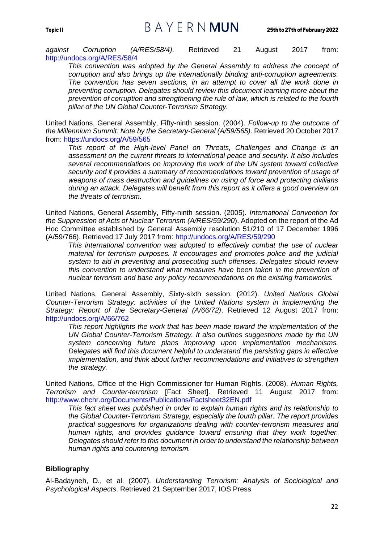## Topic II  $B A Y E R N$   $MUN$  25th to 27th of February 2022

*against Corruption (A/RES/58/4)*. Retrieved 21 August 2017 from: http://undocs.org/A/RES/58/4

*This convention was adopted by the General Assembly to address the concept of corruption and also brings up the internationally binding anti-corruption agreements. The convention has seven sections, in an attempt to cover all the work done in preventing corruption. Delegates should review this document learning more about the prevention of corruption and strengthening the rule of law, which is related to the fourth pillar of the UN Global Counter-Terrorism Strategy.*

United Nations, General Assembly, Fifty-ninth session. (2004). *Follow-up to the outcome of the Millennium Summit: Note by the Secretary-General (A/59/565)*. Retrieved 20 October 2017 from: https://undocs.org/A/59/565

*This report of the High-level Panel on Threats, Challenges and Change is an assessment on the current threats to international peace and security. It also includes several recommendations on improving the work of the UN system toward collective security and it provides a summary of recommendations toward prevention of usage of weapons of mass destruction and guidelines on using of force and protecting civilians during an attack. Delegates will benefit from this report as it offers a good overview on the threats of terrorism.*

United Nations, General Assembly, Fifty-ninth session. (2005). *International Convention for the Suppression of Acts of Nuclear Terrorism (A/RES/59/290*). Adopted on the report of the Ad Hoc Committee established by General Assembly resolution 51/210 of 17 December 1996 (A/59/766). Retrieved 17 July 2017 from: http://undocs.org/A/RES/59/290

*This international convention was adopted to effectively combat the use of nuclear material for terrorism purposes. It encourages and promotes police and the judicial system to aid in preventing and prosecuting such offenses. Delegates should review this convention to understand what measures have been taken in the prevention of nuclear terrorism and base any policy recommendations on the existing frameworks.*

United Nations, General Assembly, Sixty-sixth session. (2012). *United Nations Global Counter-Terrorism Strategy: activities of the United Nations system in implementing the Strategy: Report of the Secretary-General (A/66/72)*. Retrieved 12 August 2017 from: http://undocs.org/A/66/762

*This report highlights the work that has been made toward the implementation of the UN Global Counter-Terrorism Strategy. It also outlines suggestions made by the UN system concerning future plans improving upon implementation mechanisms. Delegates will find this document helpful to understand the persisting gaps in effective implementation, and think about further recommendations and initiatives to strengthen the strategy.*

United Nations, Office of the High Commissioner for Human Rights. (2008). *Human Rights, Terrorism and Counter-terrorism* [Fact Sheet]. Retrieved 11 August 2017 from: http://www.ohchr.org/Documents/Publications/Factsheet32EN.pdf

*This fact sheet was published in order to explain human rights and its relationship to the Global Counter-Terrorism Strategy, especially the fourth pillar. The report provides practical suggestions for organizations dealing with counter-terrorism measures and human rights, and provides guidance toward ensuring that they work together. Delegates should refer to this document in order to understand the relationship between human rights and countering terrorism.*

#### **Bibliography**

Al-Badayneh, D., et al. (2007). *Understanding Terrorism: Analysis of Sociological and Psychological Aspects*. Retrieved 21 September 2017, IOS Press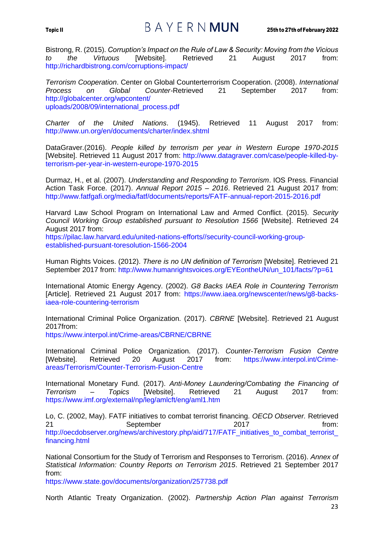## Topic II  $B A Y E R N$   $MUN$  25th to 27th of February 2022

Bistrong, R. (2015). *Corruption's Impact on the Rule of Law & Security: Moving from the Vicious to the Virtuous* [Website]. Retrieved 21 August 2017 from: http://richardbistrong.com/corruptions-impact/

*Terrorism Cooperation*. Center on Global Counterterrorism Cooperation. (2008). *International Process on Global Counter-*Retrieved 21 September 2017 from: http://globalcenter.org/wpcontent/ uploads/2008/09/international\_process.pdf

*Charter of the United Nations*. (1945). Retrieved 11 August 2017 from: http://www.un.org/en/documents/charter/index.shtml

DataGraver.(2016). *People killed by terrorism per year in Western Europe 1970-2015*  [Website]. Retrieved 11 August 2017 from: http://www.datagraver.com/case/people-killed-byterrorism-per-year-in-western-europe-1970-2015

Durmaz, H., et al. (2007). *Understanding and Responding to Terrorism*. IOS Press. Financial Action Task Force. (2017). *Annual Report 2015 – 2016*. Retrieved 21 August 2017 from: http://www.fatfgafi.org/media/fatf/documents/reports/FATF-annual-report-2015-2016.pdf

Harvard Law School Program on International Law and Armed Conflict. (2015). *Security Council Working Group established pursuant to Resolution 1566* [Website]. Retrieved 24 August 2017 from:

https://pilac.law.harvard.edu/united-nations-efforts//security-council-working-groupestablished-pursuant-toresolution-1566-2004

Human Rights Voices. (2012). *There is no UN definition of Terrorism* [Website]. Retrieved 21 September 2017 from: http://www.humanrightsvoices.org/EYEontheUN/un\_101/facts/?p=61

International Atomic Energy Agency. (2002). *G8 Backs IAEA Role in Countering Terrorism*  [Article]. Retrieved 21 August 2017 from: https://www.iaea.org/newscenter/news/g8-backsiaea-role-countering-terrorism

International Criminal Police Organization. (2017). *CBRNE* [Website]. Retrieved 21 August 2017from:

https://www.interpol.int/Crime-areas/CBRNE/CBRNE

International Criminal Police Organization. (2017). *Counter-Terrorism Fusion Centre*  [Website]. Retrieved 20 August 2017 from: https://www.interpol.int/Crimeareas/Terrorism/Counter-Terrorism-Fusion-Centre

International Monetary Fund. (2017). *Anti-Money Laundering/Combating the Financing of Terrorism – Topics* [Website]. Retrieved 21 August 2017 from: https://www.imf.org/external/np/leg/amlcft/eng/aml1.htm

Lo, C. (2002, May). FATF initiatives to combat terrorist financing. *OECD Observer.* Retrieved 21 September 2017 **from:** http://oecdobserver.org/news/archivestory.php/aid/717/FATF\_initiatives\_to\_combat\_terrorist\_ financing.html

National Consortium for the Study of Terrorism and Responses to Terrorism. (2016). *Annex of Statistical Information: Country Reports on Terrorism 2015*. Retrieved 21 September 2017 from:

https://www.state.gov/documents/organization/257738.pdf

North Atlantic Treaty Organization. (2002). *Partnership Action Plan against Terrorism*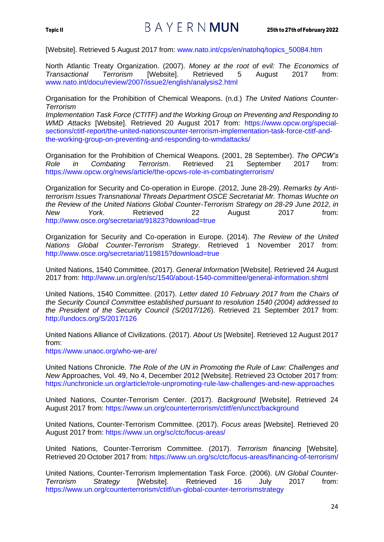[Website]. Retrieved 5 August 2017 from: www.nato.int/cps/en/natohq/topics\_50084.htm

North Atlantic Treaty Organization. (2007). *Money at the root of evil: The Economics of Transactional Terrorism* [Website]. Retrieved 5 August 2017 from: www.nato.int/docu/review/2007/issue2/english/analysis2.html

Organisation for the Prohibition of Chemical Weapons. (n.d.) *The United Nations Counter-Terrorism*

*Implementation Task Force (CTITF) and the Working Group on Preventing and Responding to WMD Attacks* [Website]. Retrieved 20 August 2017 from: https://www.opcw.org/specialsections/ctitf-report/the-united-nationscounter-terrorism-implementation-task-force-ctitf-andthe-working-group-on-preventing-and-responding-to-wmdattacks/

Organisation for the Prohibition of Chemical Weapons. (2001, 28 September). *The OPCW's Role in Combating Terrorism*. Retrieved 21 September 2017 from: https://www.opcw.org/news/article/the-opcws-role-in-combatingterrorism/

Organization for Security and Co-operation in Europe. (2012, June 28-29). *Remarks by Antiterrorism Issues Transnational Threats Department OSCE Secretariat Mr. Thomas Wuchte on the Review of the United Nations Global Counter-Terrorism Strategy on 28-29 June 2012, in New York*. Retrieved 22 August 2017 from: http://www.osce.org/secretariat/91823?download=true

Organization for Security and Co-operation in Europe. (2014). *The Review of the United Nations Global Counter-Terrorism Strategy*. Retrieved 1 November 2017 from: http://www.osce.org/secretariat/119815?download=true

United Nations, 1540 Committee. (2017). *General Information* [Website]. Retrieved 24 August 2017 from: http://www.un.org/en/sc/1540/about-1540-committee/general-information.shtml

United Nations, 1540 Committee. (2017). *Letter dated 10 February 2017 from the Chairs of the Security Council Committee established pursuant to resolution 1540 (2004) addressed to the President of the Security Council (S/2017/126*). Retrieved 21 September 2017 from: http://undocs.org/S/2017/126

United Nations Alliance of Civilizations. (2017). *About Us* [Website]. Retrieved 12 August 2017 from:

https://www.unaoc.org/who-we-are/

United Nations Chronicle. *The Role of the UN in Promoting the Rule of Law: Challenges and New* Approaches, Vol. 49, No 4, December 2012 [Website]. Retrieved 23 October 2017 from: https://unchronicle.un.org/article/role-unpromoting-rule-law-challenges-and-new-approaches

United Nations, Counter-Terrorism Center. (2017). *Background* [Website]. Retrieved 24 August 2017 from: https://www.un.org/counterterrorism/ctitf/en/uncct/background

United Nations, Counter-Terrorism Committee. (2017). *Focus areas* [Website]. Retrieved 20 August 2017 from: https://www.un.org/sc/ctc/focus-areas/

United Nations, Counter-Terrorism Committee. (2017). *Terrorism financing* [Website]. Retrieved 20 October 2017 from: https://www.un.org/sc/ctc/focus-areas/financing-of-terrorism/

United Nations, Counter-Terrorism Implementation Task Force. (2006). *UN Global Counter-Terrorism Strategy* [Website]. Retrieved 16 July 2017 from: https://www.un.org/counterterrorism/ctitf/un-global-counter-terrorismstrategy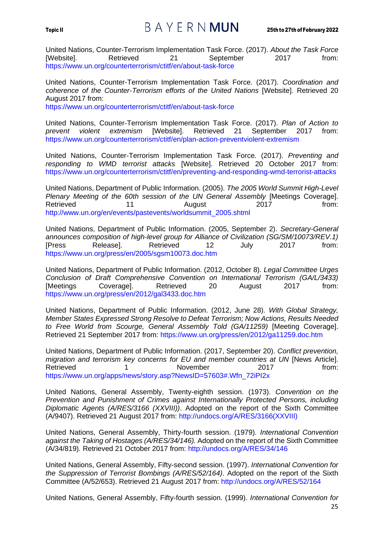## Topic II  $B A Y E R N$   $MUN$  25th to 27th of February 2022

United Nations, Counter-Terrorism Implementation Task Force. (2017). *About the Task Force*  [Website]. Retrieved 21 September 2017 from: https://www.un.org/counterterrorism/ctitf/en/about-task-force

United Nations, Counter-Terrorism Implementation Task Force. (2017). *Coordination and coherence of the Counter-Terrorism efforts of the United Nations* [Website]. Retrieved 20 August 2017 from:

https://www.un.org/counterterrorism/ctitf/en/about-task-force

United Nations, Counter-Terrorism Implementation Task Force. (2017). *Plan of Action to prevent violent extremism* [Website]. Retrieved 21 September 2017 from: https://www.un.org/counterterrorism/ctitf/en/plan-action-preventviolent-extremism

United Nations, Counter-Terrorism Implementation Task Force. (2017). *Preventing and responding to WMD terrorist attacks* [Website]. Retrieved 20 October 2017 from: https://www.un.org/counterterrorism/ctitf/en/preventing-and-responding-wmd-terrorist-attacks

United Nations, Department of Public Information. (2005). *The 2005 World Summit High-Level Plenary Meeting of the 60th session of the UN General Assembly [Meetings Coverage].* Retrieved 11 1 August 2017 from: http://www.un.org/en/events/pastevents/worldsummit\_2005.shtml

United Nations, Department of Public Information. (2005, September 2). *Secretary-General announces composition of high-level group for Alliance of Civilization (SG/SM/10073/REV.1)*  [Press Release]. Retrieved 12 July 2017 from: https://www.un.org/press/en/2005/sgsm10073.doc.htm

United Nations, Department of Public Information. (2012, October 8). *Legal Committee Urges Conclusion of Draft Comprehensive Convention on International Terrorism (GA/L/3433)*  [Meetings Coverage]. Retrieved 20 August 2017 from: https://www.un.org/press/en/2012/gal3433.doc.htm

United Nations, Department of Public Information. (2012, June 28). *With Global Strategy, Member States Expressed Strong Resolve to Defeat Terrorism; Now Actions, Results Needed to Free World from Scourge, General Assembly Told (GA/11259)* [Meeting Coverage]. Retrieved 21 September 2017 from: https://www.un.org/press/en/2012/ga11259.doc.htm

United Nations, Department of Public Information. (2017, September 20). *Conflict prevention, migration and terrorism key concerns for EU and member countries at UN* [News Article]. Retrieved 1 1 November 2017 from: https://www.un.org/apps/news/story.asp?NewsID=57603#.Wfn\_72iPI2x

United Nations, General Assembly, Twenty-eighth session. (1973). *Convention on the Prevention and Punishment of Crimes against Internationally Protected Persons, including Diplomatic Agents (A/RES/3166 (XXVIII))*. Adopted on the report of the Sixth Committee (A/9407). Retrieved 21 August 2017 from: http://undocs.org/A/RES/3166(XXVIII)

United Nations, General Assembly, Thirty-fourth session. (1979). *International Convention against the Taking of Hostages (A/RES/34/146).* Adopted on the report of the Sixth Committee (A/34/819)*.* Retrieved 21 October 2017 from: http://undocs.org/A/RES/34/146

United Nations, General Assembly, Fifty-second session. (1997). *International Convention for the Suppression of Terrorist Bombings (A/RES/52/164)*. Adopted on the report of the Sixth Committee (A/52/653). Retrieved 21 August 2017 from: http://undocs.org/A/RES/52/164

United Nations, General Assembly, Fifty-fourth session. (1999). *International Convention for*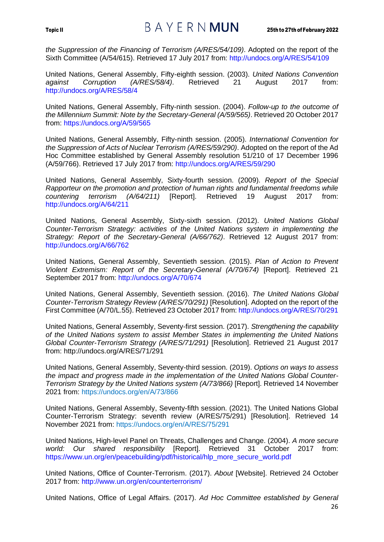## Topic II  $B A Y E R N$   $MUN$  25th to 27th of February 2022

*the Suppression of the Financing of Terrorism (A/RES/54/109)*. Adopted on the report of the Sixth Committee (A/54/615). Retrieved 17 July 2017 from: http://undocs.org/A/RES/54/109

United Nations, General Assembly, Fifty-eighth session. (2003). *United Nations Convention against Corruption (A/RES/58/4)*. Retrieved 21 August 2017 from: http://undocs.org/A/RES/58/4

United Nations, General Assembly, Fifty-ninth session. (2004). *Follow-up to the outcome of the Millennium Summit: Note by the Secretary-General (A/59/565)*. Retrieved 20 October 2017 from: https://undocs.org/A/59/565

United Nations, General Assembly, Fifty-ninth session. (2005). *International Convention for the Suppression of Acts of Nuclear Terrorism (A/RES/59/290)*. Adopted on the report of the Ad Hoc Committee established by General Assembly resolution 51/210 of 17 December 1996 (A/59/766). Retrieved 17 July 2017 from: http://undocs.org/A/RES/59/290

United Nations, General Assembly, Sixty-fourth session. (2009). *Report of the Special Rapporteur on the promotion and protection of human rights and fundamental freedoms while countering terrorism (A/64/211)* [Report]. Retrieved 19 August 2017 from: http://undocs.org/A/64/211

United Nations, General Assembly, Sixty-sixth session. (2012). *United Nations Global Counter-Terrorism Strategy: activities of the United Nations system in implementing the Strategy: Report of the Secretary-General (A/66/762)*. Retrieved 12 August 2017 from: http://undocs.org/A/66/762

United Nations, General Assembly, Seventieth session. (2015). *Plan of Action to Prevent Violent Extremism: Report of the Secretary-General (A/70/674)* [Report]. Retrieved 21 September 2017 from: http://undocs.org/A/70/674

United Nations, General Assembly, Seventieth session. (2016). *The United Nations Global Counter-Terrorism Strategy Review (A/RES/70/291)* [Resolution]. Adopted on the report of the First Committee (A/70/L.55). Retrieved 23 October 2017 from: http://undocs.org/A/RES/70/291

United Nations, General Assembly, Seventy-first session. (2017). *Strengthening the capability of the United Nations system to assist Member States in implementing the United Nations Global Counter-Terrorism Strategy (A/RES/71/291)* [Resolution]. Retrieved 21 August 2017 from: http://undocs.org/A/RES/71/291

United Nations, General Assembly, Seventy-third session. (2019). *Options on ways to assess the impact and progress made in the implementation of the United Nations Global Counter-Terrorism Strategy by the United Nations system (A/73/866)* [Report]. Retrieved 14 November 2021 from: https://undocs.org/en/A/73/866

United Nations, General Assembly, Seventy-fifth session. (2021). The United Nations Global Counter-Terrorism Strategy: seventh review (A/RES/75/291) [Resolution]. Retrieved 14 November 2021 from: https://undocs.org/en/A/RES/75/291

United Nations, High-level Panel on Threats, Challenges and Change. (2004). *A more secure world: Our shared responsibility* [Report]. Retrieved 31 October 2017 from: https://www.un.org/en/peacebuilding/pdf/historical/hlp\_more\_secure\_world.pdf

United Nations, Office of Counter-Terrorism. (2017). *About* [Website]. Retrieved 24 October 2017 from: http://www.un.org/en/counterterrorism/

26 United Nations, Office of Legal Affairs. (2017). *Ad Hoc Committee established by General*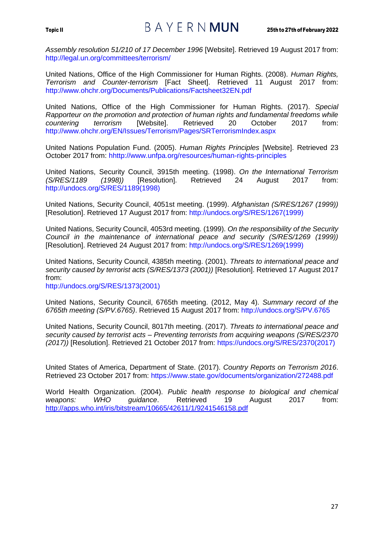Assembly resolution 51/210 of 17 December 1996 [Website]. Retrieved 19 August 2017 from: http://legal.un.org/committees/terrorism/

United Nations, Office of the High Commissioner for Human Rights. (2008). *Human Rights, Terrorism and Counter-terrorism* [Fact Sheet]. Retrieved 11 August 2017 from: http://www.ohchr.org/Documents/Publications/Factsheet32EN.pdf

United Nations, Office of the High Commissioner for Human Rights. (2017). *Special Rapporteur on the promotion and protection of human rights and fundamental freedoms while countering terrorism* [Website]. Retrieved 20 October 2017 from: http://www.ohchr.org/EN/Issues/Terrorism/Pages/SRTerrorismIndex.aspx

United Nations Population Fund. (2005). *Human Rights Principles* [Website]. Retrieved 23 October 2017 from: hhttp://www.unfpa.org/resources/human-rights-principles

United Nations, Security Council, 3915th meeting. (1998). *On the International Terrorism (1998))* [Resolution]. Retrieved 24 August 2017 http://undocs.org/S/RES/1189(1998)

United Nations, Security Council, 4051st meeting. (1999). *Afghanistan (S/RES/1267 (1999))*  [Resolution]. Retrieved 17 August 2017 from: http://undocs.org/S/RES/1267(1999)

United Nations, Security Council, 4053rd meeting. (1999). *On the responsibility of the Security Council in the maintenance of international peace and security (S/RES/1269 (1999))*  [Resolution]. Retrieved 24 August 2017 from: http://undocs.org/S/RES/1269(1999)

United Nations, Security Council, 4385th meeting. (2001). *Threats to international peace and security caused by terrorist acts (S/RES/1373 (2001))* [Resolution]. Retrieved 17 August 2017 from:

http://undocs.org/S/RES/1373(2001)

United Nations, Security Council, 6765th meeting. (2012, May 4). *Summary record of the 6765th meeting (S/PV.6765)*. Retrieved 15 August 2017 from: http://undocs.org/S/PV.6765

United Nations, Security Council, 8017th meeting. (2017). *Threats to international peace and security caused by terrorist acts – Preventing terrorists from acquiring weapons (S/RES/2370 (2017))* [Resolution]. Retrieved 21 October 2017 from: https://undocs.org/S/RES/2370(2017)

United States of America, Department of State. (2017). *Country Reports on Terrorism 2016*. Retrieved 23 October 2017 from: https://www.state.gov/documents/organization/272488.pdf

World Health Organization. (2004). *Public health response to biological and chemical weapons: WHO guidance*. Retrieved 19 August 2017 from: <http://apps.who.int/iris/bitstream/10665/42611/1/9241546158.pdf>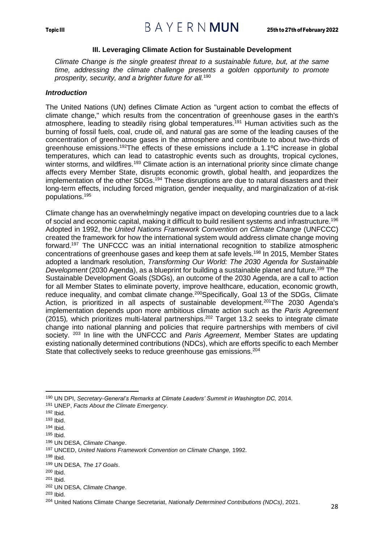#### **III. Leveraging Climate Action for Sustainable Development**

<span id="page-30-0"></span>*Climate Change is the single greatest threat to a sustainable future, but, at the same time, addressing the climate challenge presents a golden opportunity to promote prosperity, security, and a brighter future for all.*<sup>190</sup>

#### <span id="page-30-1"></span>*Introduction*

The United Nations (UN) defines Climate Action as "urgent action to combat the effects of climate change," which results from the concentration of greenhouse gases in the earth's atmosphere, leading to steadily rising global temperatures.<sup>191</sup> Human activities such as the burning of fossil fuels, coal, crude oil, and natural gas are some of the leading causes of the concentration of greenhouse gases in the atmosphere and contribute to about two-thirds of greenhouse emissions. <sup>192</sup>The effects of these emissions include a 1.1ºC increase in global temperatures, which can lead to catastrophic events such as droughts, tropical cyclones, winter storms, and wildfires.<sup>193</sup> Climate action is an international priority since climate change affects every Member State, disrupts economic growth, global health, and jeopardizes the implementation of the other SDGs.<sup>194</sup> These disruptions are due to natural disasters and their long-term effects, including forced migration, gender inequality, and marginalization of at-risk populations.<sup>195</sup>

Climate change has an overwhelmingly negative impact on developing countries due to a lack of social and economic capital, making it difficult to build resilient systems and infrastructure.<sup>196</sup> Adopted in 1992, the *United Nations Framework Convention on Climate Change* (UNFCCC) created the framework for how the international system would address climate change moving forward.<sup>197</sup> The UNFCCC was an initial international recognition to stabilize atmospheric concentrations of greenhouse gases and keep them at safe levels.<sup>198</sup> In 2015, Member States adopted a landmark resolution, *Transforming Our World: The 2030 Agenda for Sustainable Development* (2030 Agenda), as a blueprint for building a sustainable planet and future.<sup>199</sup> The Sustainable Development Goals (SDGs), an outcome of the 2030 Agenda, are a call to action for all Member States to eliminate poverty, improve healthcare, education, economic growth, reduce inequality, and combat climate change.<sup>200</sup>Specifically, Goal 13 of the SDGs, Climate Action, is prioritized in all aspects of sustainable development.<sup>201</sup>The 2030 Agenda's implementation depends upon more ambitious climate action such as the *Paris Agreement*  (2015), which prioritizes multi-lateral partnerships.<sup>202</sup> Target 13.2 seeks to integrate climate change into national planning and policies that require partnerships with members of civil society. <sup>203</sup> In line with the UNFCCC and *Paris Agreement*, Member States are updating existing nationally determined contributions (NDCs), which are efforts specific to each Member State that collectively seeks to reduce greenhouse gas emissions.<sup>204</sup>

<sup>190</sup> UN DPI, *Secretary-General's Remarks at Climate Leaders' Summit in Washington DC,* 2014.

<sup>191</sup> UNEP, *Facts About the Climate Emergency*.

<sup>192</sup> Ibid.

<sup>193</sup> Ibid.

<sup>194</sup> Ibid.

<sup>195</sup> Ibid.

<sup>196</sup> UN DESA, *Climate Change*.

<sup>197</sup> UNCED, *United Nations Framework Convention on Climate Change,* 1992.

 $198$  Ibid.

<sup>199</sup> UN DESA, *The 17 Goals*.

<sup>200</sup> Ibid.

<sup>201</sup> Ibid.

<sup>202</sup> UN DESA, *Climate Change*.

<sup>203</sup> Ibid.

<sup>204</sup> United Nations Climate Change Secretariat, *Nationally Determined Contributions (NDCs)*, 2021.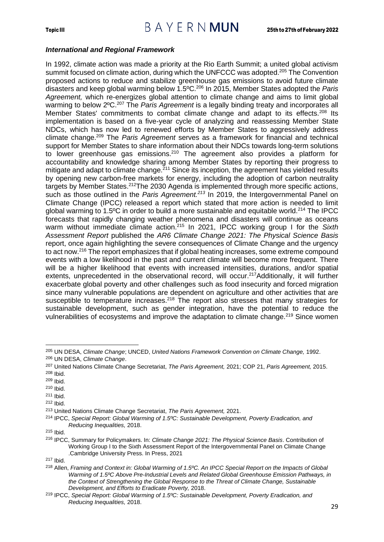#### <span id="page-31-0"></span>*International and Regional Framework*

In 1992, climate action was made a priority at the Rio Earth Summit; a united global activism summit focused on climate action, during which the UNFCCC was adopted.<sup>205</sup> The Convention proposed actions to reduce and stabilize greenhouse gas emissions to avoid future climate disasters and keep global warming below 1.5ºC.<sup>206</sup> In 2015, Member States adopted the *Paris Agreement,* which re-energizes global attention to climate change and aims to limit global warming to below 2ºC.<sup>207</sup> The *Paris Agreement* is a legally binding treaty and incorporates all Member States' commitments to combat climate change and adapt to its effects.<sup>208</sup> Its implementation is based on a five-year cycle of analyzing and reassessing Member State NDCs, which has now led to renewed efforts by Member States to aggressively address climate change.<sup>209</sup> The *Paris Agreement* serves as a framework for financial and technical support for Member States to share information about their NDCs towards long-term solutions to lower greenhouse gas emissions.<sup>210</sup> The agreement also provides a platform for accountability and knowledge sharing among Member States by reporting their progress to mitigate and adapt to climate change.<sup>211</sup> Since its inception, the agreement has yielded results by opening new carbon-free markets for energy, including the adoption of carbon neutrality targets by Member States.<sup>212</sup>The 2030 Agenda is implemented through more specific actions, such as those outlined in the *Paris Agreement.<sup>213</sup>* In 2019, the Intergovernmental Panel on Climate Change (IPCC) released a report which stated that more action is needed to limit global warming to 1.5ºC in order to build a more sustainable and equitable world.<sup>214</sup> The IPCC forecasts that rapidly changing weather phenomena and disasters will continue as oceans warm without immediate climate action.<sup>215</sup> In 2021, IPCC working group I for the Sixth *Assessment Report* published the *AR6 Climate Change 2021: The Physical Science Basis* report, once again highlighting the severe consequences of Climate Change and the urgency to act now.<sup>216</sup> The report emphasizes that if global heating increases, some extreme compound events with a low likelihood in the past and current climate will become more frequent. There will be a higher likelihood that events with increased intensities, durations, and/or spatial extents, unprecedented in the observational record, will occur.<sup>217</sup>Additionally, it will further exacerbate global poverty and other challenges such as food insecurity and forced migration since many vulnerable populations are dependent on agriculture and other activities that are susceptible to temperature increases.<sup>218</sup> The report also stresses that many strategies for sustainable development, such as gender integration, have the potential to reduce the vulnerabilities of ecosystems and improve the adaptation to climate change.<sup>219</sup> Since women

<sup>205</sup> UN DESA, *Climate Change*; UNCED, *United Nations Framework Convention on Climate Change,* 1992. <sup>206</sup> UN DESA, *Climate Change*.

<sup>207</sup> United Nations Climate Change Secretariat, *The Paris Agreement,* 2021; COP 21, *Paris Agreement,* 2015. <sup>208</sup> Ibid.

<sup>209</sup> Ibid.

<sup>210</sup> Ibid.

<sup>211</sup> Ibid.

<sup>212</sup> Ibid.

<sup>213</sup> United Nations Climate Change Secretariat, *The Paris Agreement,* 2021.

<sup>214</sup> IPCC, *Special Report: Global Warming of 1.5ºC: Sustainable Development, Poverty Eradication, and Reducing Inequalities,* 2018.

<sup>215</sup> Ibid.

<sup>216</sup> IPCC, Summary for Policymakers. In: *Climate Change 2021: The Physical Science Basis*. Contribution of Working Group I to the Sixth Assessment Report of the Intergovernmental Panel on Climate Change .Cambridge University Press. In Press, 2021

<sup>217</sup> Ibid.

<sup>218</sup> Allen, *Framing and Context in: Global Warming of 1.5ºC. An IPCC Special Report on the Impacts of Global Warming of 1.5ºC Above Pre-Industrial Levels and Related Global Greenhouse Emission Pathways, in the Context of Strengthening the Global Response to the Threat of Climate Change, Sustainable Development, and Efforts to Eradicate Poverty,* 2018.

<sup>219</sup> IPCC, *Special Report: Global Warming of 1.5ºC: Sustainable Development, Poverty Eradication, and Reducing Inequalities,* 2018.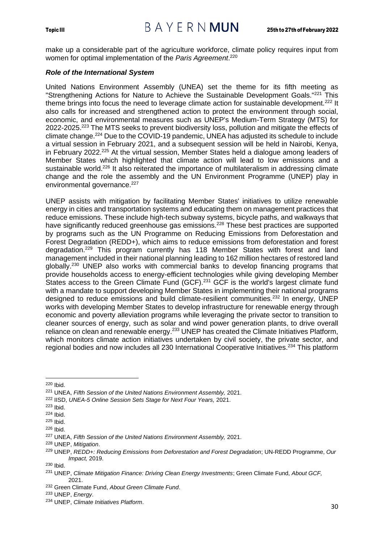make up a considerable part of the agriculture workforce, climate policy requires input from women for optimal implementation of the *Paris Agreement*. 220

#### <span id="page-32-0"></span>*Role of the International System*

United Nations Environment Assembly (UNEA) set the theme for its fifth meeting as "Strengthening Actions for Nature to Achieve the Sustainable Development Goals."<sup>221</sup> This theme brings into focus the need to leverage climate action for sustainable development.<sup>222</sup> It also calls for increased and strengthened action to protect the environment through social, economic, and environmental measures such as UNEP's Medium-Term Strategy (MTS) for 2022-2025.<sup>223</sup> The MTS seeks to prevent biodiversity loss, pollution and mitigate the effects of climate change.<sup>224</sup> Due to the COVID-19 pandemic, UNEA has adjusted its schedule to include a virtual session in February 2021, and a subsequent session will be held in Nairobi, Kenya, in February 2022.<sup>225</sup> At the virtual session, Member States held a dialogue among leaders of Member States which highlighted that climate action will lead to low emissions and a sustainable world.<sup>226</sup> It also reiterated the importance of multilateralism in addressing climate change and the role the assembly and the UN Environment Programme (UNEP) play in environmental governance.<sup>227</sup>

UNEP assists with mitigation by facilitating Member States' initiatives to utilize renewable energy in cities and transportation systems and educating them on management practices that reduce emissions. These include high-tech subway systems, bicycle paths, and walkways that have significantly reduced greenhouse gas emissions.<sup>228</sup> These best practices are supported by programs such as the UN Programme on Reducing Emissions from Deforestation and Forest Degradation (REDD+), which aims to reduce emissions from deforestation and forest degradation.<sup>229</sup> This program currently has 118 Member States with forest and land management included in their national planning leading to 162 million hectares of restored land globally.<sup>230</sup> UNEP also works with commercial banks to develop financing programs that provide households access to energy-efficient technologies while giving developing Member States access to the Green Climate Fund (GCF).<sup>231</sup> GCF is the world's largest climate fund with a mandate to support developing Member States in implementing their national programs designed to reduce emissions and build climate-resilient communities.<sup>232</sup> In energy, UNEP works with developing Member States to develop infrastructure for renewable energy through economic and poverty alleviation programs while leveraging the private sector to transition to cleaner sources of energy, such as solar and wind power generation plants, to drive overall reliance on clean and renewable energy.<sup>233</sup> UNEP has created the Climate Initiatives Platform, which monitors climate action initiatives undertaken by civil society, the private sector, and regional bodies and now includes all 230 International Cooperative Initiatives.<sup>234</sup> This platform

<sup>220</sup> Ibid.

<sup>221</sup> UNEA, *Fifth Session of the United Nations Environment Assembly,* 2021.

<sup>222</sup> IISD, *UNEA-5 Online Session Sets Stage for Next Four Years,* 2021.

<sup>223</sup> Ibid.

<sup>224</sup> Ibid.

<sup>225</sup> Ibid.

<sup>226</sup> Ibid.

<sup>227</sup> UNEA, *Fifth Session of the United Nations Environment Assembly,* 2021.

<sup>228</sup> UNEP, *Mitigation*.

<sup>229</sup> UNEP, *REDD+: Reducing Emissions from Deforestation and Forest Degradation*; UN-REDD Programme, *Our Impact,* 2019.

<sup>230</sup> Ibid.

<sup>231</sup> UNEP, *Climate Mitigation Finance: Driving Clean Energy Investments*; Green Climate Fund, *About GCF,*  2021.

<sup>232</sup> Green Climate Fund, *About Green Climate Fund*.

<sup>233</sup> UNEP, *Energy*.

<sup>234</sup> UNEP, *Climate Initiatives Platform*.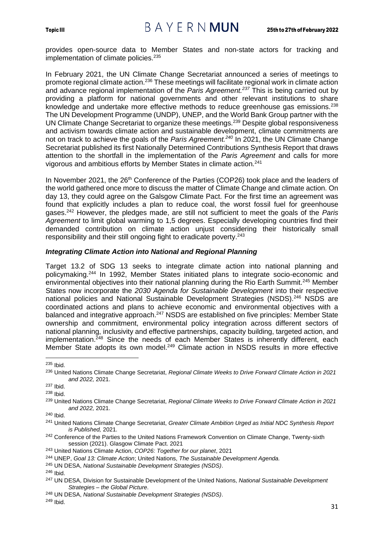provides open-source data to Member States and non-state actors for tracking and implementation of climate policies.<sup>235</sup>

In February 2021, the UN Climate Change Secretariat announced a series of meetings to promote regional climate action.<sup>236</sup> These meetings will facilitate regional work in climate action and advance regional implementation of the *Paris Agreement.<sup>237</sup>* This is being carried out by providing a platform for national governments and other relevant institutions to share knowledge and undertake more effective methods to reduce greenhouse gas emissions.<sup>238</sup> The UN Development Programme (UNDP), UNEP, and the World Bank Group partner with the UN Climate Change Secretariat to organize these meetings.<sup>239</sup> Despite global responsiveness and activism towards climate action and sustainable development, climate commitments are not on track to achieve the goals of the *Paris Agreement.<sup>240</sup>* In 2021, the UN Climate Change Secretariat published its first Nationally Determined Contributions Synthesis Report that draws attention to the shortfall in the implementation of the *Paris Agreement* and calls for more vigorous and ambitious efforts by Member States in climate action.<sup>241</sup>

In November 2021, the 26<sup>th</sup> Conference of the Parties (COP26) took place and the leaders of the world gathered once more to discuss the matter of Climate Change and climate action. On day 13, they could agree on the Galsgow Climate Pact. For the first time an agreement was found that explicitly includes a plan to reduce coal, the worst fossil fuel for greenhouse gases.<sup>242</sup> However, the pledges made, are still not sufficient to meet the goals of the *Paris Agreement* to limit global warming to 1,5 degrees. Especially developing countries find their demanded contribution on climate action unjust considering their historically small responsibility and their still ongoing fight to eradicate poverty.<sup>243</sup>

#### <span id="page-33-0"></span>*Integrating Climate Action into National and Regional Planning*

Target 13.2 of SDG 13 seeks to integrate climate action into national planning and policymaking.<sup>244</sup> In 1992, Member States initiated plans to integrate socio-economic and environmental objectives into their national planning during the Rio Earth Summit.<sup>245</sup> Member States now incorporate the *2030 Agenda for Sustainable Development* into their respective national policies and National Sustainable Development Strategies (NSDS).<sup>246</sup> NSDS are coordinated actions and plans to achieve economic and environmental objectives with a balanced and integrative approach.<sup>247</sup> NSDS are established on five principles: Member State ownership and commitment, environmental policy integration across different sectors of national planning, inclusivity and effective partnerships, capacity building, targeted action, and implementation. $248$  Since the needs of each Member States is inherently different, each Member State adopts its own model.<sup>249</sup> Climate action in NSDS results in more effective

<sup>240</sup> Ibid.

- <sup>241</sup> United Nations Climate Change Secretariat, *Greater Climate Ambition Urged as Initial NDC Synthesis Report is Published,* 2021.
- <sup>242</sup> Conference of the Parties to the United Nations Framework Convention on Climate Change, Twenty-sixth session (2021). Glasgow Climate Pact. 2021
- <sup>243</sup> United Nations Climate Action, *COP26: Together for our planet*, 2021
- <sup>244</sup> UNEP, *Goal 13: Climate Action*; United Nations, *The Sustainable Development Agenda.*
- <sup>245</sup> UN DESA, *National Sustainable Development Strategies (NSDS)*.
- <sup>246</sup> Ibid.

<sup>235</sup> Ibid.

<sup>236</sup> United Nations Climate Change Secretariat, *Regional Climate Weeks to Drive Forward Climate Action in 2021 and 2022,* 2021.

<sup>237</sup> Ibid.

<sup>238</sup> Ibid.

<sup>239</sup> United Nations Climate Change Secretariat, *Regional Climate Weeks to Drive Forward Climate Action in 2021 and 2022,* 2021.

<sup>247</sup> UN DESA, Division for Sustainable Development of the United Nations, *National Sustainable Development Strategies – the Global Picture*.

<sup>248</sup> UN DESA, *National Sustainable Development Strategies (NSDS)*.

<sup>249</sup> Ibid.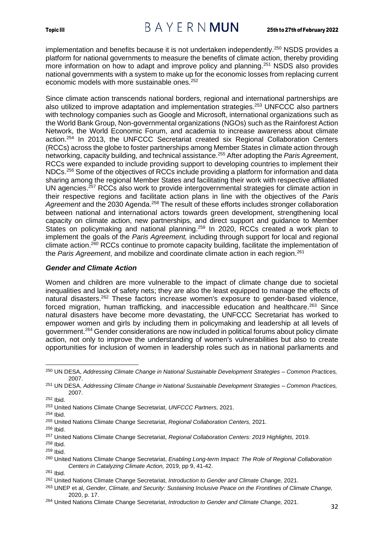## Topic III  $B A Y E R N$   $MUN$  25th to 27th of February 2022

implementation and benefits because it is not undertaken independently.<sup>250</sup> NSDS provides a platform for national governments to measure the benefits of climate action, thereby providing more information on how to adapt and improve policy and planning.<sup>251</sup> NSDS also provides national governments with a system to make up for the economic losses from replacing current economic models with more sustainable ones.<sup>252</sup>

Since climate action transcends national borders, regional and international partnerships are also utilized to improve adaptation and implementation strategies.<sup>253</sup> UNFCCC also partners with technology companies such as Google and Microsoft, international organizations such as the World Bank Group, Non-governmental organizations (NGOs) such as the Rainforest Action Network, the World Economic Forum, and academia to increase awareness about climate action. <sup>254</sup> In 2013, the UNFCCC Secretariat created six Regional Collaboration Centers (RCCs) across the globe to foster partnerships among Member States in climate action through networking, capacity building, and technical assistance.<sup>255</sup> After adopting the *Paris Agreemen*t, RCCs were expanded to include providing support to developing countries to implement their NDCs.<sup>256</sup> Some of the objectives of RCCs include providing a platform for information and data sharing among the regional Member States and facilitating their work with respective affiliated UN agencies.<sup>257</sup> RCCs also work to provide intergovernmental strategies for climate action in their respective regions and facilitate action plans in line with the objectives of the *Paris*  Agreement and the 2030 Agenda.<sup>258</sup> The result of these efforts includes stronger collaboration between national and international actors towards green development, strengthening local capacity on climate action, new partnerships, and direct support and guidance to Member States on policymaking and national planning.<sup>259</sup> In 2020, RCCs created a work plan to implement the goals of the *Paris Agreement,* including through support for local and regional climate action.<sup>260</sup> RCCs continue to promote capacity building, facilitate the implementation of the *Paris Agreement*, and mobilize and coordinate climate action in each region.<sup>261</sup>

#### <span id="page-34-0"></span>*Gender and Climate Action*

Women and children are more vulnerable to the impact of climate change due to societal inequalities and lack of safety nets; they are also the least equipped to manage the effects of natural disasters.<sup>262</sup> These factors increase women's exposure to gender-based violence, forced migration, human trafficking, and inaccessible education and healthcare.<sup>263</sup> Since natural disasters have become more devastating, the UNFCCC Secretariat has worked to empower women and girls by including them in policymaking and leadership at all levels of government.<sup>264</sup> Gender considerations are now included in political forums about policy climate action, not only to improve the understanding of women's vulnerabilities but also to create opportunities for inclusion of women in leadership roles such as in national parliaments and

<sup>250</sup> UN DESA, *Addressing Climate Change in National Sustainable Development Strategies – Common Practices,* 2007.

<sup>251</sup> UN DESA, *Addressing Climate Change in National Sustainable Development Strategies – Common Practices,* 2007.

<sup>252</sup> Ibid.

<sup>253</sup> United Nations Climate Change Secretariat, *UNFCCC Partners,* 2021.

<sup>254</sup> Ibid.

<sup>255</sup> United Nations Climate Change Secretariat, *Regional Collaboration Centers,* 2021.

<sup>256</sup> Ibid.

<sup>257</sup> United Nations Climate Change Secretariat, *Regional Collaboration Centers: 2019 Highlights,* 2019.

<sup>258</sup> Ibid.

<sup>259</sup> Ibid.

<sup>260</sup> United Nations Climate Change Secretariat, *Enabling Long-term Impact: The Role of Regional Collaboration Centers in Catalyzing Climate Action,* 2019, pp 9, 41-42.

<sup>261</sup> Ibid.

<sup>262</sup> United Nations Climate Change Secretariat, *Introduction to Gender and Climate Change,* 2021.

<sup>263</sup> UNEP et al, *Gender, Climate, and Security: Sustaining Inclusive Peace on the Frontlines of Climate Change,* 2020, p. 17.

<sup>264</sup> United Nations Climate Change Secretariat, *Introduction to Gender and Climate Change,* 2021.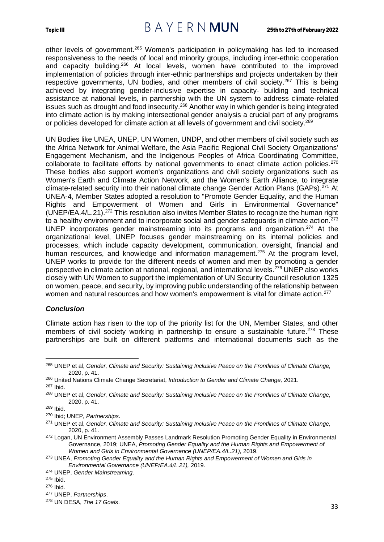## Topic III  $B A Y E R N$   $MUN$  25th to 27th of February 2022

other levels of government.<sup>265</sup> Women's participation in policymaking has led to increased responsiveness to the needs of local and minority groups, including inter-ethnic cooperation and capacity building.<sup>266</sup> At local levels, women have contributed to the improved implementation of policies through inter-ethnic partnerships and projects undertaken by their respective governments, UN bodies, and other members of civil society.<sup>267</sup> This is being achieved by integrating gender-inclusive expertise in capacity- building and technical assistance at national levels, in partnership with the UN system to address climate-related issues such as drought and food insecurity.<sup>268</sup> Another way in which gender is being integrated into climate action is by making intersectional gender analysis a crucial part of any programs or policies developed for climate action at all levels of government and civil society.<sup>269</sup>

UN Bodies like UNEA, UNEP, UN Women, UNDP, and other members of civil society such as the Africa Network for Animal Welfare, the Asia Pacific Regional Civil Society Organizations' Engagement Mechanism, and the Indigenous Peoples of Africa Coordinating Committee, collaborate to facilitate efforts by national governments to enact climate action policies.<sup>270</sup> These bodies also support women's organizations and civil society organizations such as Women's Earth and Climate Action Network, and the Women's Earth Alliance, to integrate climate-related security into their national climate change Gender Action Plans (GAPs).<sup>271</sup> At UNEA-4, Member States adopted a resolution to "Promote Gender Equality, and the Human Rights and Empowerment of Women and Girls in Environmental Governance" (UNEP/EA.4/L.21).<sup>272</sup> This resolution also invites Member States to recognize the human right to a healthy environment and to incorporate social and gender safeguards in climate action.<sup>273</sup> UNEP incorporates gender mainstreaming into its programs and organization.<sup>274</sup> At the organizational level, UNEP focuses gender mainstreaming on its internal policies and processes, which include capacity development, communication, oversight, financial and human resources, and knowledge and information management.<sup>275</sup> At the program level, UNEP works to provide for the different needs of women and men by promoting a gender perspective in climate action at national, regional, and international levels.<sup>276</sup> UNEP also works closely with UN Women to support the implementation of UN Security Council resolution 1325 on women, peace, and security, by improving public understanding of the relationship between women and natural resources and how women's empowerment is vital for climate action.<sup>277</sup>

#### <span id="page-35-0"></span>*Conclusion*

Climate action has risen to the top of the priority list for the UN, Member States, and other members of civil society working in partnership to ensure a sustainable future.<sup>278</sup> These partnerships are built on different platforms and international documents such as the

<sup>267</sup> Ibid.

<sup>265</sup> UNEP et al, *Gender, Climate and Security: Sustaining Inclusive Peace on the Frontlines of Climate Change,*  2020, p. 41.

<sup>266</sup> United Nations Climate Change Secretariat, *Introduction to Gender and Climate Change,* 2021.

<sup>268</sup> UNEP et al, *Gender, Climate and Security: Sustaining Inclusive Peace on the Frontlines of Climate Change,*  2020, p. 41.

<sup>269</sup> Ibid.

<sup>270</sup> Ibid; UNEP, *Partnerships*.

<sup>271</sup> UNEP et al, *Gender, Climate and Security: Sustaining Inclusive Peace on the Frontlines of Climate Change,*  2020, p. 41.

<sup>&</sup>lt;sup>272</sup> Logan, UN Environment Assembly Passes Landmark Resolution Promoting Gender Equality in Environmental Governance, 2019; UNEA, *Promoting Gender Equality and the Human Rights and Empowerment of Women and Girls in Environmental Governance (UNEP/EA.4/L.21),* 2019.

<sup>273</sup> UNEA, *Promoting Gender Equality and the Human Rights and Empowerment of Women and Girls in Environmental Governance (UNEP/EA.4/L.21),* 2019.

<sup>274</sup> UNEP, *Gender Mainstreaming*.

<sup>275</sup> Ibid.

<sup>276</sup> Ibid.

<sup>277</sup> UNEP, *Partnerships*.

<sup>278</sup> UN DESA, *The 17 Goals*.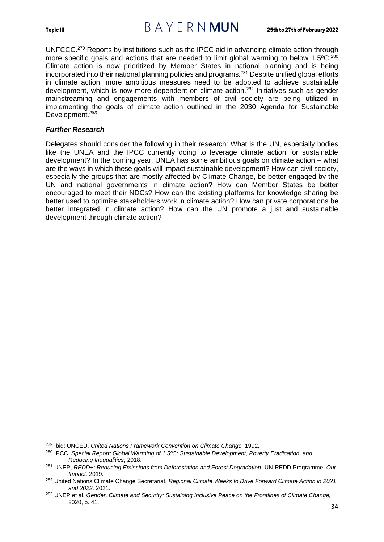

UNFCCC.<sup>279</sup> Reports by institutions such as the IPCC aid in advancing climate action through more specific goals and actions that are needed to limit global warming to below  $1.5^{\circ}$ C.<sup>280</sup> Climate action is now prioritized by Member States in national planning and is being incorporated into their national planning policies and programs.<sup>281</sup> Despite unified global efforts in climate action, more ambitious measures need to be adopted to achieve sustainable development, which is now more dependent on climate action.<sup>282</sup> Initiatives such as gender mainstreaming and engagements with members of civil society are being utilized in implementing the goals of climate action outlined in the 2030 Agenda for Sustainable Development*. 283*

#### <span id="page-36-0"></span>*Further Research*

Delegates should consider the following in their research: What is the UN, especially bodies like the UNEA and the IPCC currently doing to leverage climate action for sustainable development? In the coming year, UNEA has some ambitious goals on climate action – what are the ways in which these goals will impact sustainable development? How can civil society, especially the groups that are mostly affected by Climate Change, be better engaged by the UN and national governments in climate action? How can Member States be better encouraged to meet their NDCs? How can the existing platforms for knowledge sharing be better used to optimize stakeholders work in climate action? How can private corporations be better integrated in climate action? How can the UN promote a just and sustainable development through climate action?

<sup>279</sup> Ibid; UNCED, *United Nations Framework Convention on Climate Change,* 1992.

<sup>280</sup> IPCC, *Special Report: Global Warming of 1.5ºC: Sustainable Development, Poverty Eradication, and Reducing Inequalities,* 2018.

<sup>281</sup> UNEP, *REDD+: Reducing Emissions from Deforestation and Forest Degradation*; UN-REDD Programme, *Our Impact,* 2019.

<sup>282</sup> United Nations Climate Change Secretariat, *Regional Climate Weeks to Drive Forward Climate Action in 2021 and 2022,* 2021.

<sup>283</sup> UNEP et al, *Gender, Climate and Security: Sustaining Inclusive Peace on the Frontlines of Climate Change,*  2020, p. 41.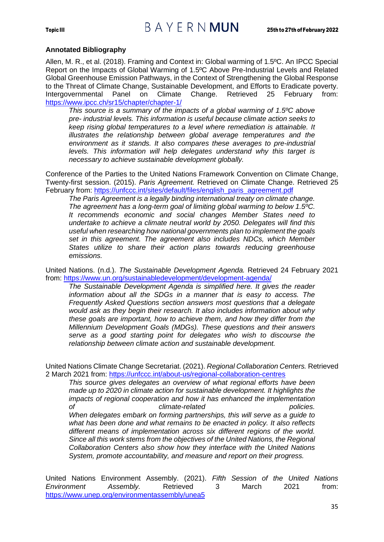#### **Annotated Bibliography**

Allen, M. R., et al. (2018). Framing and Context in: Global warming of 1.5ºC. An IPCC Special Report on the Impacts of Global Warming of 1.5ºC Above Pre-Industrial Levels and Related Global Greenhouse Emission Pathways, in the Context of Strengthening the Global Response to the Threat of Climate Change, Sustainable Development, and Efforts to Eradicate poverty. Intergovernmental Panel on Climate Change. Retrieved 25 February from: <https://www.ipcc.ch/sr15/chapter/chapter-1/>

*This source is a summary of the impacts of a global warming of 1.5ºC above pre- industrial levels. This information is useful because climate action seeks to keep rising global temperatures to a level where remediation is attainable. It illustrates the relationship between global average temperatures and the environment as it stands. It also compares these averages to pre-industrial levels. This information will help delegates understand why this target is necessary to achieve sustainable development globally.*

Conference of the Parties to the United Nations Framework Convention on Climate Change, Twenty-first session. (2015). *Paris Agreement.* Retrieved on Climate Change. Retrieved 25 February from: [https://unfccc.int/sites/default/files/english\\_paris\\_agreement.pdf](https://unfccc.int/sites/default/files/english_paris_agreement.pdf)

*The Paris Agreement is a legally binding international treaty on climate change. The agreement has a long-term goal of limiting global warming to below 1.5ºC. It recommends economic and social changes Member States need to undertake to achieve a climate neutral world by 2050. Delegates will find this useful when researching how national governments plan to implement the goals set in this agreement. The agreement also includes NDCs, which Member States utilize to share their action plans towards reducing greenhouse emissions.*

United Nations. (n.d.). *The Sustainable Development Agenda.* Retrieved 24 February 2021 from:<https://www.un.org/sustainabledevelopment/development-agenda/>

*The Sustainable Development Agenda is simplified here. It gives the reader information about all the SDGs in a manner that is easy to access. The Frequently Asked Questions section answers most questions that a delegate would ask as they begin their research. It also includes information about why these goals are important, how to achieve them, and how they differ from the Millennium Development Goals (MDGs). These questions and their answers serve as a good starting point for delegates who wish to discourse the relationship between climate action and sustainable development.*

United Nations Climate Change Secretariat. (2021). *Regional Collaboration Centers.* Retrieved 2 March 2021 from:<https://unfccc.int/about-us/regional-collaboration-centres>

*This source gives delegates an overview of what regional efforts have been made up to 2020 in climate action for sustainable development. It highlights the impacts of regional cooperation and how it has enhanced the implementation of climate-related policies. When delegates embark on forming partnerships, this will serve as a guide to what has been done and what remains to be enacted in policy. It also reflects different means of implementation across six different regions of the world. Since all this work stems from the objectives of the United Nations, the Regional Collaboration Centers also show how they interface with the United Nations System, promote accountability, and measure and report on their progress.*

United Nations Environment Assembly. (2021). *Fifth Session of the United Nations Environment Assembly.* Retrieved 3 March 2021 from: <https://www.unep.org/environmentassembly/unea5>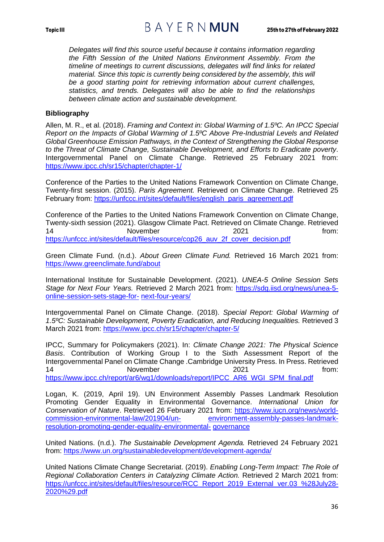*Delegates will find this source useful because it contains information regarding the Fifth Session of the United Nations Environment Assembly. From the timeline of meetings to current discussions, delegates will find links for related material. Since this topic is currently being considered by the assembly, this will be a good starting point for retrieving information about current challenges, statistics, and trends. Delegates will also be able to find the relationships between climate action and sustainable development.*

#### **Bibliography**

Allen, M. R., et al. (2018). *Framing and Context in: Global Warming of 1.5ºC. An IPCC Special Report on the Impacts of Global Warming of 1.5ºC Above Pre-Industrial Levels and Related Global Greenhouse Emission Pathways, in the Context of Strengthening the Global Response to the Threat of Climate Change, Sustainable Development, and Efforts to Eradicate poverty*. Intergovernmental Panel on Climate Change. Retrieved 25 February 2021 from: <https://www.ipcc.ch/sr15/chapter/chapter-1/>

Conference of the Parties to the United Nations Framework Convention on Climate Change, Twenty-first session. (2015). *Paris Agreement.* Retrieved on Climate Change. Retrieved 25 February from: [https://unfccc.int/sites/default/files/english\\_paris\\_agreement.pdf](https://unfccc.int/sites/default/files/english_paris_agreement.pdf)

Conference of the Parties to the United Nations Framework Convention on Climate Change, Twenty-sixth session (2021). Glasgow Climate Pact. Retrieved on Climate Change. Retrieved 14 November 2021 2021 from: [https://unfccc.int/sites/default/files/resource/cop26\\_auv\\_2f\\_cover\\_decision.pdf](https://unfccc.int/sites/default/files/resource/cop26_auv_2f_cover_decision.pdf)

Green Climate Fund. (n.d.). *About Green Climate Fund.* Retrieved 16 March 2021 from: <https://www.greenclimate.fund/about>

International Institute for Sustainable Development. (2021). *UNEA-5 Online Session Sets Stage for Next Four Years.* Retrieved 2 March 2021 from: [https://sdg.iisd.org/news/unea-5](https://sdg.iisd.org/news/unea-5-online-session-sets-stage-for-next-four-years/) [online-session-sets-stage-for-](https://sdg.iisd.org/news/unea-5-online-session-sets-stage-for-next-four-years/) [next-four-years/](https://sdg.iisd.org/news/unea-5-online-session-sets-stage-for-next-four-years/)

Intergovernmental Panel on Climate Change. (2018). *Special Report: Global Warming of 1.5ºC: Sustainable Development, Poverty Eradication, and Reducing Inequalities.* Retrieved 3 March 2021 from:<https://www.ipcc.ch/sr15/chapter/chapter-5/>

IPCC, Summary for Policymakers (2021). In: *Climate Change 2021: The Physical Science Basis*. Contribution of Working Group I to the Sixth Assessment Report of the Intergovernmental Panel on Climate Change .Cambridge University Press. In Press. Retrieved 14 November 2021 **http://www.from.** [https://www.ipcc.ch/report/ar6/wg1/downloads/report/IPCC\\_AR6\\_WGI\\_SPM\\_final.pdf](https://www.ipcc.ch/report/ar6/wg1/downloads/report/IPCC_AR6_WGI_SPM_final.pdf)

Logan, K. (2019, April 19). UN Environment Assembly Passes Landmark Resolution Promoting Gender Equality in Environmental Governance. *International Union for Conservation of Nature*. Retrieved 26 February 2021 from: [https://www.iucn.org/news/world](https://www.iucn.org/news/world-commission-environmental-law/201904/un-environment-assembly-passes-landmark-resolution-promoting-gender-equality-environmental-governance)[commission-environmental-law/201904/un-](https://www.iucn.org/news/world-commission-environmental-law/201904/un-environment-assembly-passes-landmark-resolution-promoting-gender-equality-environmental-governance) [environment-assembly-passes-landmark](https://www.iucn.org/news/world-commission-environmental-law/201904/un-environment-assembly-passes-landmark-resolution-promoting-gender-equality-environmental-governance)[resolution-promoting-gender-equality-environmental-](https://www.iucn.org/news/world-commission-environmental-law/201904/un-environment-assembly-passes-landmark-resolution-promoting-gender-equality-environmental-governance) [governance](https://www.iucn.org/news/world-commission-environmental-law/201904/un-environment-assembly-passes-landmark-resolution-promoting-gender-equality-environmental-governance)

United Nations. (n.d.). *The Sustainable Development Agenda.* Retrieved 24 February 2021 from:<https://www.un.org/sustainabledevelopment/development-agenda/>

United Nations Climate Change Secretariat. (2019). *Enabling Long-Term Impact: The Role of Regional Collaboration Centers in Catalyzing Climate Action.* Retrieved 2 March 2021 from: [https://unfccc.int/sites/default/files/resource/RCC](https://unfccc.int/sites/default/files/resource/RCC%20Report%202019%20External%20ver.03%20%28July28-2020%29.pdf) Report 2019 External ver.03 %28July28- [2020%29.pdf](https://unfccc.int/sites/default/files/resource/RCC%20Report%202019%20External%20ver.03%20%28July28-2020%29.pdf)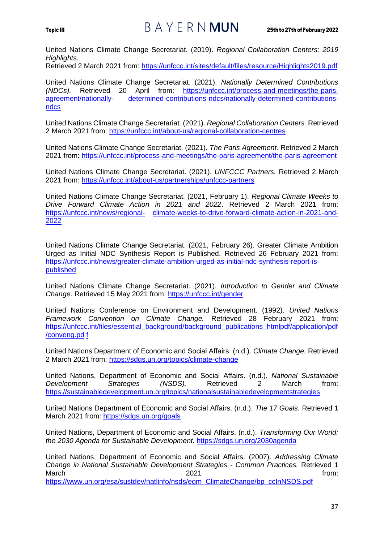## Topic III  $B A Y E R N$   $MUN$  25th to 27th of February 2022

United Nations Climate Change Secretariat. (2019). *Regional Collaboration Centers: 2019 Highlights.*

Retrieved 2 March 2021 from:<https://unfccc.int/sites/default/files/resource/Highlights2019.pdf>

United Nations Climate Change Secretariat. (2021). *Nationally Determined Contributions (NDCs).* Retrieved 20 April from: [https://unfccc.int/process-and-meetings/the-paris](https://unfccc.int/process-and-meetings/the-paris-agreement/nationally-determined-contributions-ndcs/nationally-determined-contributions-ndcs)[agreement/nationally-](https://unfccc.int/process-and-meetings/the-paris-agreement/nationally-determined-contributions-ndcs/nationally-determined-contributions-ndcs) [determined-contributions-ndcs/nationally-determined-contributions](https://unfccc.int/process-and-meetings/the-paris-agreement/nationally-determined-contributions-ndcs/nationally-determined-contributions-ndcs)[ndcs](https://unfccc.int/process-and-meetings/the-paris-agreement/nationally-determined-contributions-ndcs/nationally-determined-contributions-ndcs)

United Nations Climate Change Secretariat. (2021). *Regional Collaboration Centers.* Retrieved 2 March 2021 from:<https://unfccc.int/about-us/regional-collaboration-centres>

United Nations Climate Change Secretariat. (2021). *The Paris Agreement.* Retrieved 2 March 2021 from:<https://unfccc.int/process-and-meetings/the-paris-agreement/the-paris-agreement>

United Nations Climate Change Secretariat. (2021). *UNFCCC Partners.* Retrieved 2 March 2021 from:<https://unfccc.int/about-us/partnerships/unfccc-partners>

United Nations Climate Change Secretariat. (2021, February 1). *Regional Climate Weeks to Drive Forward Climate Action in 2021 and 2022*. Retrieved 2 March 2021 from: [https://unfccc.int/news/regional-](https://unfccc.int/news/regional-climate-weeks-to-drive-forward-climate-action-in-2021-and-2022) [climate-weeks-to-drive-forward-climate-action-in-2021-and-](https://unfccc.int/news/regional-climate-weeks-to-drive-forward-climate-action-in-2021-and-2022)[2022](https://unfccc.int/news/regional-climate-weeks-to-drive-forward-climate-action-in-2021-and-2022)

United Nations Climate Change Secretariat. (2021, February 26). Greater Climate Ambition Urged as Initial NDC Synthesis Report is Published. Retrieved 26 February 2021 from: [https://unfccc.int/news/greater-climate-ambition-urged-as-initial-ndc-synthesis-report-is](https://unfccc.int/news/greater-climate-ambition-urged-as-initial-ndc-synthesis-report-is-published)[published](https://unfccc.int/news/greater-climate-ambition-urged-as-initial-ndc-synthesis-report-is-published)

United Nations Climate Change Secretariat. (2021). *Introduction to Gender and Climate*  Change. Retrieved 15 May 2021 from:<https://unfccc.int/gender>

United Nations Conference on Environment and Development. (1992). *United Nations Framework Convention on Climate Change.* Retrieved 28 February 2021 from: [https://unfccc.int/files/essential\\_background/background\\_publications\\_htmlpdf/application/pdf](https://unfccc.int/files/essential_background/background_publications_htmlpdf/application/pdf/conveng.pdf) [/conveng.pd](https://unfccc.int/files/essential_background/background_publications_htmlpdf/application/pdf/conveng.pdf) [f](https://unfccc.int/files/essential_background/background_publications_htmlpdf/application/pdf/conveng.pdf)

United Nations Department of Economic and Social Affairs. (n.d.). *Climate Change.* Retrieved 2 March 2021 from:<https://sdgs.un.org/topics/climate-change>

United Nations, Department of Economic and Social Affairs. (n.d.). *National Sustainable Development Strategies (NSDS).* Retrieved 2 March from: <https://sustainabledevelopment.un.org/topics/nationalsustainabledevelopmentstrategies>

United Nations Department of Economic and Social Affairs. (n.d.). *The 17 Goals.* Retrieved 1 March 2021 from:<https://sdgs.un.org/goals>

United Nations, Department of Economic and Social Affairs. (n.d.). *Transforming Our World: the 2030 Agenda for Sustainable Development.* <https://sdgs.un.org/2030agenda>

United Nations, Department of Economic and Social Affairs. (2007). *Addressing Climate Change in National Sustainable Development Strategies - Common Practices.* Retrieved 1 March **2021** *COLLEG COLLEG COLLEG COLLEG COLLEG COLLEG COLLEG COLLEG COLLEG COLLEG COLLEG COLLEG* [https://www.un.org/esa/sustdev/natlinfo/nsds/egm\\_ClimateChange/bp\\_ccInNSDS.pdf](https://www.un.org/esa/sustdev/natlinfo/nsds/egm_ClimateChange/bp_ccInNSDS.pdf)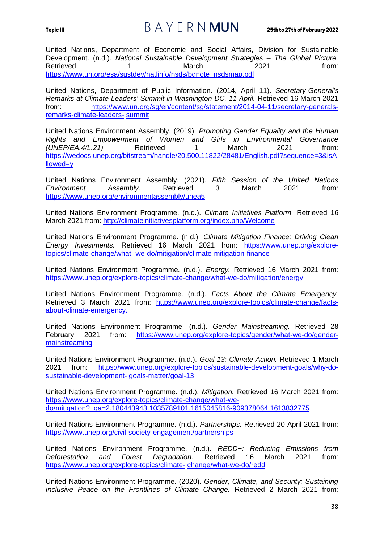## Topic III  $B A Y E R N$   $MUN$  25th to 27th of February 2022

United Nations, Department of Economic and Social Affairs, Division for Sustainable Development. (n.d.). *National Sustainable Development Strategies – The Global Picture.*  Retrieved 1 1 March 2021 from: [https://www.un.org/esa/sustdev/natlinfo/nsds/bgnote\\_nsdsmap.pdf](https://www.un.org/esa/sustdev/natlinfo/nsds/bgnote_nsdsmap.pdf)

United Nations, Department of Public Information. (2014, April 11). *Secretary-General's Remarks at Climate Leaders' Summit in Washington DC, 11 April.* Retrieved 16 March 2021 from: [https://www.un.org/sg/en/content/sg/statement/2014-04-11/secretary-generals](https://www.un.org/sg/en/content/sg/statement/2014-04-11/secretary-generals-remarks-climate-leaders-summit)[remarks-climate-leaders-](https://www.un.org/sg/en/content/sg/statement/2014-04-11/secretary-generals-remarks-climate-leaders-summit) [summit](https://www.un.org/sg/en/content/sg/statement/2014-04-11/secretary-generals-remarks-climate-leaders-summit)

United Nations Environment Assembly. (2019). *Promoting Gender Equality and the Human Rights and Empowerment of Women and Girls in Environmental Governance (UNEP/EA.4/L.21).* Retrieved 1 March 2021 from: [https://wedocs.unep.org/bitstream/handle/20.500.11822/28481/English.pdf?sequence=3&isA](https://wedocs.unep.org/bitstream/handle/20.500.11822/28481/English.pdf?sequence=3&isAllowed=y) [llowed=y](https://wedocs.unep.org/bitstream/handle/20.500.11822/28481/English.pdf?sequence=3&isAllowed=y)

United Nations Environment Assembly. (2021). *Fifth Session of the United Nations Environment Assembly.* Retrieved 3 March 2021 from: <https://www.unep.org/environmentassembly/unea5>

United Nations Environment Programme. (n.d.). *Climate Initiatives Platform.* Retrieved 16 March 2021 from:<http://climateinitiativesplatform.org/index.php/Welcome>

United Nations Environment Programme. (n.d.). *Climate Mitigation Finance: Driving Clean Energy Investments.* Retrieved 16 March 2021 from: [https://www.unep.org/explore](https://www.unep.org/explore-topics/climate-change/what-we-do/mitigation/climate-mitigation-finance)[topics/climate-change/what-](https://www.unep.org/explore-topics/climate-change/what-we-do/mitigation/climate-mitigation-finance) [we-do/mitigation/climate-mitigation-finance](https://www.unep.org/explore-topics/climate-change/what-we-do/mitigation/climate-mitigation-finance)

United Nations Environment Programme. (n.d.). *Energy.* Retrieved 16 March 2021 from: <https://www.unep.org/explore-topics/climate-change/what-we-do/mitigation/energy>

United Nations Environment Programme. (n.d.). *Facts About the Climate Emergency.*  Retrieved 3 March 2021 from: [https://www.unep.org/explore-topics/climate-change/facts](https://www.unep.org/explore-topics/climate-change/facts-about-climate-emergency)[about-climate-emergency.](https://www.unep.org/explore-topics/climate-change/facts-about-climate-emergency)

United Nations Environment Programme. (n.d.). *Gender Mainstreaming.* Retrieved 28 February 2021 from: [https://www.unep.org/explore-topics/gender/what-we-do/gender](https://www.unep.org/explore-topics/gender/what-we-do/gender-mainstreaming)[mainstreaming](https://www.unep.org/explore-topics/gender/what-we-do/gender-mainstreaming)

United Nations Environment Programme. (n.d.). *Goal 13: Climate Action.* Retrieved 1 March 2021 from: [https://www.unep.org/explore-topics/sustainable-development-goals/why-do](https://www.unep.org/explore-topics/sustainable-development-goals/why-do-sustainable-development-goals-matter/goal-13)[sustainable-development-](https://www.unep.org/explore-topics/sustainable-development-goals/why-do-sustainable-development-goals-matter/goal-13) [goals-matter/goal-13](https://www.unep.org/explore-topics/sustainable-development-goals/why-do-sustainable-development-goals-matter/goal-13)

United Nations Environment Programme. (n.d.). *Mitigation.* Retrieved 16 March 2021 from: [https://www.unep.org/explore-topics/climate-change/what-we](https://www.unep.org/explore-topics/climate-change/what-we-do/mitigation?_ga=2.180443943.1035789101.1615045816-909378064.1613832775)[do/mitigation?\\_ga=2.180443943.1035789101.1615045816-909378064.1613832775](https://www.unep.org/explore-topics/climate-change/what-we-do/mitigation?_ga=2.180443943.1035789101.1615045816-909378064.1613832775)

United Nations Environment Programme. (n.d.). *Partnerships.* Retrieved 20 April 2021 from: <https://www.unep.org/civil-society-engagement/partnerships>

United Nations Environment Programme. (n.d.). *REDD+: Reducing Emissions from Deforestation and Forest Degradation*. Retrieved 16 March 2021 from: [https://www.unep.org/explore-topics/climate-](https://www.unep.org/explore-topics/climate-change/what-we-do/redd) [change/what-we-do/redd](https://www.unep.org/explore-topics/climate-change/what-we-do/redd)

United Nations Environment Programme. (2020). *Gender, Climate, and Security: Sustaining Inclusive Peace on the Frontlines of Climate Change.* Retrieved 2 March 2021 from: